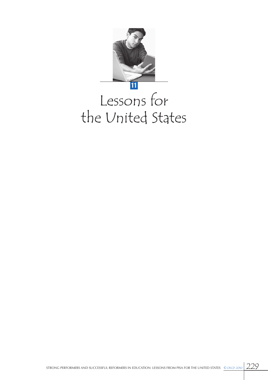

# Lessons for the United States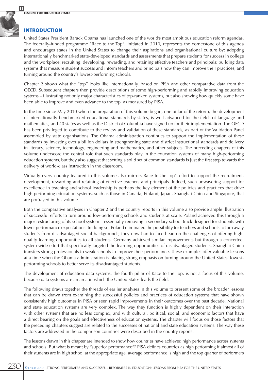#### **INTRODUCTION**

United States President Barack Obama has launched one of the world's most ambitious education reform agendas. The federally-funded programme "Race to the Top", initiated in 2010, represents the cornerstone of this agenda and encourages states in the United States to change their aspirations and organisational culture by: adopting internationally benchmarked state-developed standards and assessments that prepare students for success in college and the workplace; recruiting, developing, rewarding, and retaining effective teachers and principals; building data systems that measure student success and inform teachers and principals how they can improve their practices; and turning around the country's lowest-performing schools.

Chapter 2 shows what the "top" looks like internationally, based on PISA and other comparative data from the OECD. Subsequent chapters then provide descriptions of some high-performing and rapidly improving education systems – illustrating not only major characteristics of top-ranked systems, but also showing how quickly some have been able to improve and even advance to the top, as measured by PISA.

In the time since May 2010 when the preparation of this volume began, one pillar of the reform, the development of internationally benchmarked educational standards by states, is well advanced for the fields of language and mathematics, and 40 states as well as the District of Columbia have signed up for their implementation. The OECD has been privileged to contribute to the review and validation of these standards, as part of the Validation Panel assembled by state organisations. The Obama administration continues to support the implementation of these standards by investing over a billion dollars in strengthening state and district instructional standards and delivery in literacy, science, technology, engineering and mathematics, and other subjects. The preceding chapters of this volume underscore the central role that such standards play in the education systems of many high-performing education systems, but they also suggest that setting a solid set of common standards is just the first step towards the delivery of world-class instruction in the classroom.

Virtually every country featured in this volume also mirrors Race to the Top's effort to support the recruitment, development, rewarding and retaining of effective teachers and principals. Indeed, such unwavering support for excellence in teaching and school leadership is perhaps the key element of the policies and practices that drive high-performing education systems, such as those in Canada, Finland, Japan, Shanghai-China and Singapore, that are portrayed in this volume.

Both the comparative analyses in Chapter 2 and the country reports in this volume also provide ample illustration of successful efforts to turn around low-performing schools and students at scale. Poland achieved this through a major restructuring of its school system – essentially removing a secondary school track designed for students with lower performance expectations. In doing so, Poland eliminated the possibility for teachers and schools to turn away students from disadvantaged social backgrounds; they now had to face head-on the challenges of offering highquality learning opportunities to all students. Germany achieved similar improvements but through a concerted, system-wide effort that specifically targeted the learning opportunities of disadvantaged students. Shanghai-China transfers strong professionals to weak schools to improve their performance. These examples offer valuable lessons at a time when the Obama administration is placing strong emphasis on turning around the United States' lowestperforming schools to better serve its disadvantaged students.

The development of education data systems, the fourth pillar of Race to the Top, is not a focus of this volume, because data systems are an area in which the United States leads the field.

The following draws together the threads of earlier analyses in this volume to present some of the broader lessons that can be drawn from examining the successful policies and practices of education systems that have shown consistently high outcomes in PISA or seen rapid improvements in their outcomes over the past decade. National and state education systems are very complex. The way they function is highly dependent on their interaction with other systems that are no less complex, and with cultural, political, social, and economic factors that have a direct bearing on the goals and effectiveness of education systems. The chapter will focus on those factors that the preceding chapters suggest are related to the successes of national and state education systems. The way these factors are addressed in the comparison countries were described in the country reports.

The lessons drawn in this chapter are intended to show how countries have achieved high performance across systems and schools. But what is meant by "superior performance"? PISA defines countries as high performing if almost all of their students are in high school at the appropriate age, average performance is high and the top quarter of performers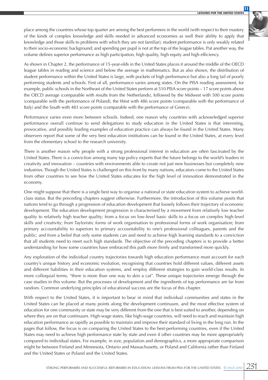

place among the countries whose top quarter are among the best performers in the world (with respect to their mastery of the kinds of complex knowledge and skills needed in advanced economies as well their ability to apply that knowledge and those skills to problems with which they are not familiar); student performance is only weakly related to their socio-economic background; and spending per pupil is not at the top of the league tables. Put another way, the volume defines superior performance as high participation, high quality, high equity and high efficiency.

As shown in Chapter 2, the performance of 15-year-olds in the United States places it around the middle of the OECD league tables in reading and science and below the average in mathematics. But as also shown, the distribution of student performance within the United States is large, with pockets of high performance but also a long tail of poorly performing students and schools. First of all, performance varies among states. On the PISA reading assessment, for example, public schools in the Northeast of the United States perform at 510 PISA score points – 17 score points above the OECD average (comparable with results from the Netherlands), followed by the Midwest with 500 score points (comparable with the performance of Poland), the West with 486 score points (comparable with the performance of Italy) and the South with 483 score points (comparable with the performance of Greece).

Performance varies even more between schools. Indeed, one reason why countries with acknowledged superior performance overall continue to send delegations to study education in the United States is that interesting, provocative, and possibly leading examples of education practice can always be found in the United States. Many observers report that some of the very best education institutions can be found in the United States, at every level from the elementary school to the research university.

There is another reason why people with a strong professional interest in education are often fascinated by the United States. There is a conviction among many top policy experts that the future belongs to the world's leaders in creativity and innovation – countries with environments able to create not just new businesses but completely new industries. Though the United States is challenged on this front by many nations, educators come to the United States from other countries to see how the United States educates for the high level of innovation demonstrated in the economy.

One might suppose that there is a single best way to organise a national or state education system to achieve worldclass status. But the preceding chapters suggest otherwise. Furthermore, the introduction of this volume posits that nations tend to go through a progression of education development that loosely follows their trajectory of economic development. The education development progression is characterised by a movement from relatively low teacher quality to relatively high teacher quality; from a focus on low-level basic skills to a focus on complex high-level skills and creativity; from Tayloristic forms of work organisation to professional forms of work organisation; from primary accountability to superiors to primary accountability to one's professional colleagues, parents and the public; and from a belief that only some students can and need to achieve high learning standards to a conviction that all students need to meet such high standards. The objective of the preceding chapters is to provide a better understanding for how some countries have embraced this path more firmly and transformed more quickly.

Any exploration of the individual country trajectories towards high education performance must account for each country's unique history and economic evolution, recognising that countries hold different values, different assets and different liabilities in their education systems, and employ different strategies to gain world-class results. In more colloquial terms, "there is more than one way to skin a cat". These unique trajectories emerge through the case studies in this volume. But the processes of development and the ingredients of top performance are far from random. Common underlying principles of educational success are the focus of this chapter.

With respect to the United States, it is important to bear in mind that individual communities and states in the United States can be placed at many points along the development continuum, and the most effective system of education for one community or state may be very different from the one that is best suited to another, depending on where they are on that continuum. High-wage states, like high-wage countries, will need to reach and maintain high education performance as rapidly as possible to maintain and improve their standard of living in the long run. In the pages that follow, the focus is on comparing the United States to the best-performing countries, even if the United States may need to achieve high performance state by state and even if other countries may be more appropriately compared to individual states. For example, in size, population and demographics, a more appropriate comparison might be between Finland and Minnesota, Ontario and Massachusetts, or Poland and California rather than Finland and the United States or Poland and the United States.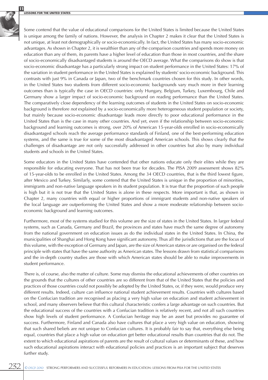Some contend that the value of educational comparisons for the United States is limited because the United States is unique among the family of nations. However, the analysis in Chapter 2 makes it clear that the United States is not unique, at least not demographically or socio-economically. In fact, the United States has many socio-economic advantages. As shown in Chapter 2, it is wealthier than any of the comparison countries and spends more money on education than any of them, its parents have a higher level of education than those in most countries, and the share of socio-economically disadvantaged students is around the OECD average. What the comparisons do show is that socio-economic disadvantage has a particularly strong impact on student performance in the United States: 17% of the variation in student performance in the United States is explained by students' socio-economic background. This contrasts with just 9% in Canada or Japan, two of the benchmark countries chosen for this study*.* In other words, in the United States two students from different socio-economic backgrounds vary much more in their learning outcomes than is typically the case in OECD countries: only Hungary, Belgium, Turkey, Luxembourg, Chile and Germany show a larger impact of socio-economic background on reading performance than the United States. The comparatively close dependency of the learning outcomes of students in the United States on socio-economic background is therefore *not* explained by a socio-economically more heterogeneous student population or society, but mainly because socio-economic disadvantage leads more directly to poor educational performance in the United States than is the case in many other countries. And yet, even if the relationship between socio-economic background and learning outcomes is strong, over 20% of American 15-year-olds enrolled in socio-economically disadvantaged schools reach the average performance standards of Finland, one of the best-performing education systems, and the same is true for some of the most disadvantaged American schools. This shows clearly that the challenges of disadvantage are not only successfully addressed in other countries but also by many individual students and schools in the United States.

Some educators in the United States have contended that other nations educate only their elites while they are responsible for educating everyone. That has not been true for decades. The PISA 2009 assessment shows 82% of 15-year-olds to be enrolled in the United States. Among the 34 OECD countries, that is the third lowest figure, after Mexico and Turkey. Similarly, some contend that the United States is unique in the proportion of minorities, immigrants and non-native language speakers in its student population. It is true that the proportion of such people is high but it is not true that the United States is alone in these respects. More important is that, as shown in Chapter 2, many countries with equal or higher proportions of immigrant students and non-native speakers of the local language are outperforming the United States and show a more moderate relationship between socioeconomic background and learning outcomes.

Furthermore, most of the systems studied for this volume are the size of states in the United States. In larger federal systems, such as Canada, Germany and Brazil, the provinces and states have much the same degree of autonomy from the national government on education issues as do the individual states in the United States. In China, the municipalities of Shanghai and Hong Kong have significant autonomy. Thus all the jurisdictions that are the focus of this volume, with the exception of Germany and Japan, are the size of American states or are organised on the federal principle with states that have the same authority as American states. The lessons drawn from statistical comparisons and the in-depth country studies are those with which American states should be able to make improvements in student performance.

There is, of course, also the matter of culture. Some may dismiss the educational achievements of other countries on the grounds that the cultures of other countries are so different from that of the United States that the policies and practices of those countries could not possibly be adopted by the United States, or, if they were, would produce very different results. Indeed, culture can influence national student achievement results. Countries with cultures based on the Confucian tradition are recognised as placing a very high value on education and student achievement in school, and many observers believe that this cultural characteristic confers a large advantage on such countries. But the educational success of the countries with a Confucian tradition is relatively recent, and not all such countries show high levels of student performance. A Confucian heritage may be an asset but provides no guarantee of success. Furthermore, Finland and Canada also have cultures that place a very high value on education, showing that such shared beliefs are not unique to Confucian cultures. It is probably fair to say that, everything else being equal, countries that place a high value on education get better educational results than countries that do not. The extent to which educational aspirations of parents are the result of cultural values or determinants of these, and how such educational aspirations interact with educational policies and practices is an important subject that deserves further study.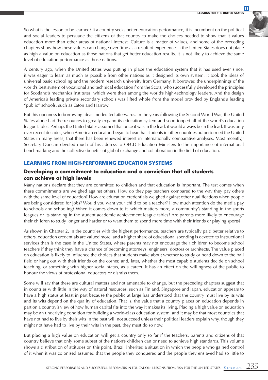

So what is the lesson to be learned? If a country seeks better education performance, it is incumbent on the political and social leaders to persuade the citizens of that country to make the choices needed to show that it values education more than other areas of national interest. Culture is a matter of values, and some of the preceding chapters show how these values can change over time as a result of experience. If the United States does not place as high a value on education as those nations that get better education results, it is not likely to achieve the same level of education performance as those nations.

A century ago, when the United States was putting in place the education system that it has used ever since, it was eager to learn as much as possible from other nations as it designed its own system. It took the ideas of universal basic schooling and the modern research university from Germany. It borrowed the underpinnings of the world's best system of vocational and technical education from the Scots, who successfully developed the principles for Scotland's mechanics institutes, which were then among the world's high-technology leaders. And the design of America's leading private secondary schools was lifted whole from the model provided by England's leading "public" schools, such as Eaton and Harrow.

But this openness to borrowing ideas moderated afterwards. In the years following the Second World War, the United States alone had the resources to greatly expand its education system and soon topped all of the world's education league tables. Perhaps the United States assumed that once it was in the lead, it would always be in the lead. It was only over recent decades, when American educators began to hear that students in other countries outperformed the United States in many areas, that there has been renewed interest in internationally comparative analyses. Most recently,<sup>1</sup> Secretary Duncan devoted much of his address to OECD Education Ministers to the importance of international benchmarking and the collective benefits of global exchange and collaboration in the field of education.

## Learning from high-performing education systems

## **Developing a commitment to education and a conviction that all students can achieve at high levels**

Many nations declare that they are committed to children and that education is important. The test comes when these commitments are weighed against others. How do they pay teachers compared to the way they pay others with the same level of education? How are education credentials weighed against other qualifications when people are being considered for jobs? Would you want your child to be a teacher? How much attention do the media pay to schools and schooling? When it comes down to it, which matters more, a community's standing in the sports leagues or its standing in the student academic achievement league tables? Are parents more likely to encourage their children to study longer and harder or to want them to spend more time with their friends or playing sports?

As shown in Chapter 2, in the countries with the highest performance, teachers are typically paid better relative to others, education credentials are valued more, and a higher share of educational spending is devoted to instructional services than is the case in the United States, where parents may not encourage their children to become school teachers if they think they have a chance of becoming attorneys, engineers, doctors or architects. The value placed on education is likely to influence the choices that students make about whether to study or head down to the ball field or hang out with their friends on the corner, and, later, whether the most capable students decide on school teaching, or something with higher social status, as a career. It has an effect on the willingness of the public to honour the views of professional educators or dismiss them.

Some will say that these are cultural matters and not amenable to change, but the preceding chapters suggest that in countries with little in the way of natural resources, such as Finland, Singapore and Japan, education appears to have a high status at least in part because the public at large has understood that the country must live by its wits and its wits depend on the quality of education. That is, the value that a country places on education depends in part on a country's view of how human capital fits into the way it makes its living. Placing a high value on education may be an underlying condition for building a world-class education system, and it may be that most countries that have not had to live by their wits in the past will not succeed unless their political leaders explain why, though they might not have had to live by their wits in the past, they must do so now.

But placing a high value on education will get a country only so far if the teachers, parents and citizens of that country believe that only some subset of the nation's children can or need to achieve high standards. This volume shows a distribution of attitudes on this point. Brazil inherited a situation in which the people who gained control of it when it was colonised assumed that the people they conquered and the people they enslaved had so little to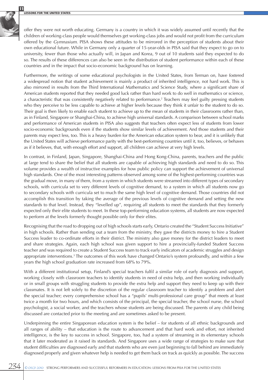

offer they were not worth educating. Germany is a country in which it was widely assumed until recently that the children of working-class people would themselves get working-class jobs and would not profit from the curriculum offered by the *Gymnasium*. PISA shows these attitudes to be mirrored in the perception of students about their own educational future. While in Germany only a quarter of 15-year-olds in PISA said that they expect to go on to university, fewer than those who actually will, in Japan and Korea, 9 out of 10 students said they expected to do so. The results of these differences can also be seen in the distribution of student performance within each of these countries and in the impact that socio-economic background has on learning.

Furthermore, the writings of some educational psychologists in the United States, from Terman on, have fostered a widespread notion that student achievement is mainly a product of inherited intelligence, not hard work. This is also mirrored in results from the Third International Mathematics and Science Study, where a significant share of American students reported that they needed good luck rather than hard work to do well in mathematics or science, a characteristic that was consistently negatively related to performance.2 Teachers may feel guilty pressing students who they perceive to be less capable to achieve at higher levels because they think it unfair to the student to do so. Their goal is then likely to enable each student to achieve up to the mean of students in their classrooms rather than, as in Finland, Singapore or Shanghai-China, to achieve high universal standards. A comparison between school marks and performance of American students in PISA also suggests that teachers often expect less of students from lower socio-economic backgrounds even if the students show similar levels of achievement. And those students and their parents may expect less, too. This is a heavy burden for the American education system to bear, and it is unlikely that the United States will achieve performance parity with the best-performing countries until it, too, believes, or behaves as if it believes, that, with enough effort and support, all children can achieve at very high levels.

In contrast, in Finland, Japan, Singapore, Shanghai-China and Hong Kong-China, parents, teachers and the public at large tend to share the belief that all students are capable of achieving high standards and need to do so. This volume provides a wealth of instructive examples for how public policy can support the achievement of universal high standards. One of the most interesting patterns observed among some of the highest-performing countries was the gradual move, in many of them, from a system in which students were streamed into different types of secondary schools, with curricula set to very different levels of cognitive demand, to a system in which all students now go to secondary schools with curricula set to much the same high level of cognitive demand. Those countries did not accomplish this transition by taking the average of the previous levels of cognitive demand and setting the new standards to that level. Instead, they "levelled up", requiring all students to meet the standards that they formerly expected only their elite students to meet. In these top-performing education systems, all students are now expected to perform at the levels formerly thought possible only for their elites.

Recognising that the road to dropping out of high schools starts early, Ontario created the "Student Success Initiative" in high schools. Rather than sending out a team from the ministry, they gave the districts money to hire a Student Success leader to co-ordinate efforts in their district. The ministry also gave money for the district leaders to meet and share strategies. Again, each high school was given support to hire a provincially-funded Student Success teacher and was required to create a Student Success team to track early indicators of academic struggles and design appropriate interventions.3 The outcomes of this work have changed Ontario's system profoundly, and within a few years the high school graduation rate increased from 68% to 79%.

With a different institutional setup, Finland's special teachers fulfil a similar role of early diagnosis and support, working closely with classroom teachers to identify students in need of extra help, and then working individually or in small groups with struggling students to provide the extra help and support they need to keep up with their classmates. It is not left solely to the discretion of the regular classroom teacher to identify a problem and alert the special teacher; every comprehensive school has a "pupils' multi-professional care group" that meets at least twice a month for two hours, and which consists of the principal, the special teacher, the school nurse, the school psychologist, a social worker, and the teachers whose students are being discussed. The parents of any child being discussed are contacted prior to the meeting and are sometimes asked to be present.

Underpinning the entire Singaporean education system is the belief – for students of all ethnic backgrounds and all ranges of ability – that education is the route to advancement and that hard work and effort, not inherited intelligence, is the key to success in school. Singapore, too, had a system of streaming in its elementary schools that it later moderated as it raised its standards. And Singapore uses a wide range of strategies to make sure that student difficulties are diagnosed early and that students who are even just beginning to fall behind are immediately diagnosed properly and given whatever help is needed to get them back on track as quickly as possible. The success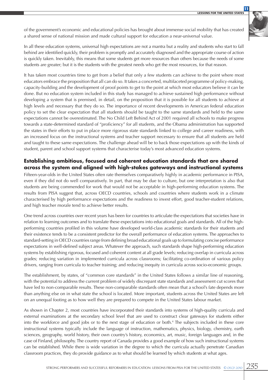

of the government's economic and educational policies has brought about immense social mobility that has created a shared sense of national mission and made cultural support for education a near-universal value.

In all these education systems, universal high expectations are not a mantra but a reality and students who start to fall behind are identified quickly, their problem is promptly and accurately diagnosed and the appropriate course of action is quickly taken. Inevitably, this means that some students get more resources than others because the needs of some students are greater; but it is the students with the greatest needs who get the most resources, for that reason.

It has taken most countries time to get from a belief that only a few students can achieve to the point where most educators embrace the proposition that all can do so. It takes a concerted, multifaceted programme of policy-making, capacity-building and the development of proof points to get to the point at which most educators believe it can be done. But no education system included in this study has managed to achieve sustained high performance without developing a system that is premised, in detail, on the proposition that it is possible for all students to achieve at high levels and necessary that they do so. The importance of recent developments in American federal education policy to set the clear expectation that all students should be taught to the same standards and held to the same expectations cannot be overestimated. The No Child Left Behind Act of 2001 required all schools to make progress towards a state-determined standard of "proficiency" for all students, and the Obama administration has supported the states in their efforts to put in place more rigorous state standards linked to college and career readiness, with an increased focus on the instructional systems and teacher support necessary to ensure that all students are held and taught to these same expectations. The challenge ahead will be to back those expectations up with the kinds of student, parent and school support systems that characterise today's most advanced education systems.

# **Establishing ambitious, focused and coherent education standards that are shared across the system and aligned with high-stakes gateways and instructional systems**

Fifteen-year-olds in the United States often rate themselves comparatively highly in academic performance in PISA, even if they did not do well comparatively. In part, that may be due to culture, but one interpretation is also that students are being commended for work that would not be acceptable in high-performing education systems. The results from PISA suggest that, across OECD countries, schools and countries where students work in a climate characterised by high performance expectations and the readiness to invest effort, good teacher-student relations, and high teacher morale tend to achieve better results.

One trend across countries over recent years has been for countries to articulate the expectations that societies have in relation to learning outcomes and to translate these expectations into educational goals and standards. All of the highperforming countries profiled in this volume have developed world-class academic standards for their students and their existence tends to be a consistent predictor for the overall performance of education systems. The approaches to standard-setting in OECD countries range from defining broad educational goals up to formulating concise performance expectations in well-defined subject areas. Whatever the approach, such standards shape high-performing education systems by establishing rigorous, focused and coherent content at all grade levels; reducing overlap in curricula across grades; reducing variation in implemented curricula across classrooms; facilitating co-ordination of various policy drivers, ranging from curricula to teacher training; and reducing inequity in curricula across socio-economic groups.

The establishment, by states, of "common core standards" in the United States follows a similar line of reasoning, with the potential to address the current problem of widely discrepant state standards and assessment cut scores that have led to non-comparable results. These non-comparable standards often mean that a school's fate depends more than anything else on in what state the school is located. More important, students across the United States are left on an unequal footing as to how well they are prepared to compete in the United States labour market.

As shown in Chapter 2, most countries have incorporated their standards into systems of high-quality curricula and external examinations at the secondary school level that are used to construct clear gateways for students either into the workforce and good jobs or to the next stage of education or both.4 The subjects included in these core instructional systems typically include the language of instruction, mathematics, physics, biology, chemistry, earth sciences, geography, world history, their own country's history, economics, art, music, foreign languages and, in the case of Finland, philosophy. The country report of Canada provides a good example of how such instructional systems can be established. While there is wide variation in the degree to which the curricula actually penetrate Canadian classroom practices, they do provide guidance as to what should be learned by which students at what ages.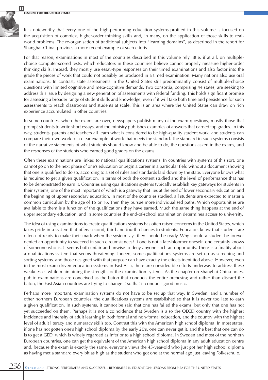

It is noteworthy that every one of the high-performing education systems profiled in this volume is focused on the acquisition of complex, higher-order thinking skills and, in many, on the application of those skills to realworld problems. The re-organisation of traditional subjects into "learning domains", as described in the report for Shanghai-China, provides a more recent example of such efforts.

For that reason, examinations in most of the countries described in this volume rely little, if at all, on multiplechoice computer-scored tests, which educators in these countries believe cannot properly measure higher-order thinking skills. Instead, they mostly use essay-type responses on their timed examinations and also factor into the grade the pieces of work that could not possibly be produced in a timed examination. Many nations also use oral examinations. In contrast, state assessments in the United States still predominantly consist of multiple-choice questions with limited cognitive and meta-cognitive demands. Two consortia, comprising 44 states, are seeking to address this issue by designing a new generation of assessments with federal funding. This holds significant promise for assessing a broader range of student skills and knowledge, even if it will take both time and persistence for such assessments to reach classrooms and students at scale. This is an area where the United States can draw on rich experience accumulated in other countries.

In some countries, when the exams are over, newspapers publish many of the exam questions, mostly those that prompt students to write short essays, and the ministry publishes examples of answers that earned top grades. In this way, students, parents and teachers all learn what is considered to be high-quality student work, and students can compare their own work to a clear example of work that meets the standard. The standard in such systems consists of the narrative statements of what students should know and be able to do, the questions asked in the exams, and the responses of the students who earned good grades on the exams.

Often these examinations are linked to national qualifications systems. In countries with systems of this sort, one cannot go on to the next phase of one's education or begin a career in a particular field without a document showing that one is qualified to do so, according to a set of rules and standards laid down by the state. Everyone knows what is required to get a given qualification, in terms of both the content studied and the level of performance that has to be demonstrated to earn it. Countries using qualifications systems typically establish key gateways for students in their systems, one of the most important of which is a gateway that lies at the end of lower secondary education and the beginning of upper secondary education. In most of the countries studied, all students are expected to master a common curriculum by the age of 15 or 16. Then they pursue more individualised paths. Which opportunities are available to them is a function of the qualifications they have earned. Much the same thing happens at the end of upper secondary education, and in some countries the end-of-school examination determines access to university.

The idea of using examinations to create qualifications systems has often raised concerns in the United States, which takes pride in a system that offers second, third and fourth chances to students. Educators know that students are often not ready to make their mark when the system says they should be ready. Why should a student be forever denied an opportunity to succeed in such circumstances? If one is not a late-bloomer oneself, one certainly knows of someone who is. It seems both unfair and unwise to deny anyone such an opportunity. There is a finality about a qualifications system that seems threatening. Indeed, some qualifications systems are set up as screening and sorting systems, and those designed with that purpose can have exactly the effects identified above. However, even in the most exam-driven education systems in East Asia, there are considerable efforts underway to address these weaknesses while maintaining the strengths of the examination systems. As the chapter on Shanghai-China notes, public examinations are conceived as the baton that conducts the entire orchestra; and rather than discard the baton, the East Asian countries are trying to change it so that it conducts good music.

Perhaps more important, examination systems do not have to be set up that way. In Sweden, and a number of other northern European countries, the qualifications systems are established so that it is never too late to earn a given qualification. In such systems, it cannot be said that one has failed the exams, but only that one has not yet succeeded on them. Perhaps it is not a coincidence that Sweden is also the OECD country with the highest incidence and intensity of adult learning in both formal and non-formal education, and the country with the highest level of adult literacy and numeracy skills too. Contrast this with the American high school diploma. In most states, if one has not gotten one's high school diploma by the early 20's, one can never get it, and the best that one can do is to get a GED, which is widely regarded as inferior to a high school diploma. In Sweden and most of the northern European countries, one can get the equivalent of the American high school diploma in any adult education centre and, because the exam is exactly the same, everyone views the 45-year-old who just got her high school diploma as having met a standard every bit as high as the student who got one at the normal age just leaving Folkeschule.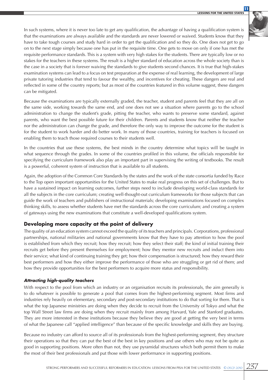In such systems, where it is never too late to get any qualification, the advantage of having a qualification system is that the examinations are always available and the standards are never lowered or waived. Students know that they have to take tough courses and study hard in order to get the qualification and so they do. One does not get to go on to the next stage simply because one has put in the requisite time. One gets to move on only if one has met the requisite performance standards. This is a system with very high stakes for the students. There are typically low or no stakes for the teachers in these systems. The result is a higher standard of education across the whole society than is the case in a society that is forever waiving the standards to give students second chances. It is true that high-stakes examination systems can lead to a focus on test preparation at the expense of real learning, the development of large private tutoring industries that tend to favour the wealthy, and incentives for cheating. These dangers are real and reflected in some of the country reports; but as most of the countries featured in this volume suggest, these dangers can be mitigated.

Because the examinations are typically externally graded, the teacher, student and parents feel that they are all on the same side, working towards the same end, and one does not see a situation where parents go to the school administration to change the student's grade, pitting the teacher, who wants to preserve some standard, against parents, who want the best possible future for their children. Parents and students know that neither the teacher nor the administration can change the grade, and therefore the only way to improve the outcome for the student is for the student to work harder and do better work. In many of those countries, training for teachers is focused on enabling them to teach those required courses to their students well.

In the countries that use these systems, the best minds in the country determine what topics will be taught in what sequence through the grades. In some of the countries profiled in this volume, the officials responsible for specifying the curriculum framework also play an important part in supervising the writing of textbooks. The result is a powerful, coherent system of instruction that is available to all students.

Again, the adoption of the Common Core Standards by the states and the work of the state consortia funded by Race to the Top open important opportunities for the United States to make real progress on this set of challenges. But to have a sustained impact on learning outcomes, further steps need to include developing world-class standards for all the subjects in the core curriculum; creating well-thought-out curriculum frameworks for those subjects that can guide the work of teachers and publishers of instructional materials; developing examinations focused on complex thinking skills, to assess whether students have met the standards across the core curriculum; and creating a system of gateways using the new examinations that constitute a well-developed qualifications system.

## **Developing more capacity at the point of delivery**

The quality of an education system cannot exceed the quality of its teachers and principals. Corporations, professional partnerships, national militaries and national governments know that they have to pay attention to how the pool is established from which they recruit; how they recruit; how they select their staff; the kind of initial training their recruits get before they present themselves for employment; how they mentor new recruits and induct them into their service; what kind of continuing training they get; how their compensation is structured; how they reward their best performers and how they either improve the performance of those who are struggling or get rid of them; and how they provide opportunities for the best performers to acquire more status and responsibility.

## *Attracting high-quality teachers*

With respect to the pool from which an industry or an organisation recruits its professionals, the aim generally is to do whatever is possible to generate a pool that comes from the highest-performing segment. Most firms and industries rely heavily on elementary, secondary and post-secondary institutions to do that sorting for them. That is what the top Japanese ministries are doing when they decide to recruit from the University of Tokyo and what the top Wall Street law firms are doing when they recruit mainly from among Harvard, Yale and Stanford graduates. They are more interested in these institutions because they believe they are good at getting the very best in terms of what the Japanese call "applied intelligence" than because of the specific knowledge and skills they are buying.

Because no industry can afford to source all of its professionals from the highest-performing segment, they structure their operations so that they can put the best of the best in key positions and use others who may not be quite as good in supporting positions. More often than not, they use pyramidal structures which both permit them to make the most of their best professionals and put those with lower performance in supporting positions.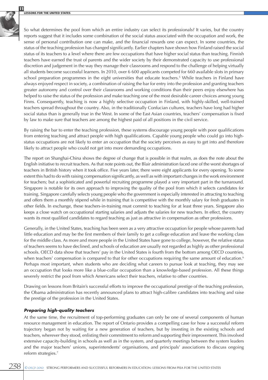So what determines the pool from which an entire industry can select its professionals? It varies, but the country reports suggest that it includes some combination of the social status associated with the occupation and work, the sense of personal contribution one can make, and the financial rewards one can expect. In some countries, the status of the teaching profession has changed significantly. Earlier chapters have shown how Finland raised the social status of its teachers to a level where there are few occupations that have higher social status than teaching. Finnish teachers have earned the trust of parents and the wider society by their demonstrated capacity to use professional discretion and judgement in the way they manage their classrooms and respond to the challenge of helping virtually all students become successful learners. In 2010, over 6 600 applicants competed for 660 available slots in primary school preparation programmes in the eight universities that educate teachers.<sup>5</sup> While teachers in Finland have always enjoyed respect in society, a combination of raising the bar for entry into the profession and granting teachers greater autonomy and control over their classrooms and working conditions than their peers enjoy elsewhere has helped to raise the status of the profession and make teaching one of the most desirable career choices among young Finns. Consequently, teaching is now a highly selective occupation in Finland, with highly-skilled, well-trained teachers spread throughout the country. Also, in the traditionally Confucian cultures, teachers have long had higher social status than is generally true in the West. In some of the East Asian countries, teachers' compensation is fixed by law to make sure that teachers are among the highest paid of all positions in the civil service.

By raising the bar to enter the teaching profession, these systems discourage young people with poor qualifications from entering teaching and attract people with high qualifications. Capable young people who could go into highstatus occupations are not likely to enter an occupation that the society perceives as easy to get into and therefore likely to attract people who could not get into more demanding occupations.

The report on Shanghai-China shows the degree of change that is possible in that realm, as does the note about the English initiative to recruit teachers. As that note points out, the Blair administration faced one of the worst shortages of teachers in British history when it took office. Five years later, there were eight applicants for every opening. To some extent this had to do with raising compensation significantly, as well as with important changes in the work environment for teachers; but a sophisticated and powerful recruiting programme played a very important part in the turnaround. Singapore is notable for its own approach to improving the quality of the pool from which it selects candidates for training. Singapore carefully selects young people who the government is especially interested in attracting to teaching and offers them a monthly stipend while in training that is competitive with the monthly salary for fresh graduates in other fields. In exchange, these teachers-in-training must commit to teaching for at least three years. Singapore also keeps a close watch on occupational starting salaries and adjusts the salaries for new teachers. In effect, the country wants its most qualified candidates to regard teaching as just as attractive in compensation as other professions.

Generally, in the United States, teaching has been seen as a very attractive occupation for people whose parents had little education and may be the first members of their family to get a college education and leave the working class for the middle class. As more and more people in the United States have gone to college, however, the relative status of teachers seems to have declined, and schools of education are usually not regarded as highly as other professional schools. OECD data show that teachers' pay in the United States is fourth from the bottom among OECD countries, when teachers' compensation is compared to that for other occupations requiring the same amount of education.<sup>6</sup> Perhaps most important, when students who are deciding what careers to pursue look at teaching, they may see an occupation that looks more like a blue-collar occupation than a knowledge-based profession. All these things severely restrict the pool from which Americans select their teachers, relative to other countries.

Drawing on lessons from Britain's successful efforts to improve the occupational prestige of the teaching profession, the Obama administration has recently announced plans to attract high-calibre candidates into teaching and raise the prestige of the profession in the United States.

#### *Preparing high-quality teachers*

At the same time, the recruitment of top-performing graduates can only be one of several components of human resource management in education. The report of Ontario provides a compelling case for how a successful reform trajectory began not by waiting for a new generation of teachers, but by investing in the existing schools and teachers, wherever they stood, enlisting their commitment to reform and supporting their improvement. This involved extensive capacity-building in schools as well as in the system, and quarterly meetings between the system leaders and the major teachers' unions, superintendents' organisations, and principals' associations to discuss ongoing reform strategies.<sup>7</sup>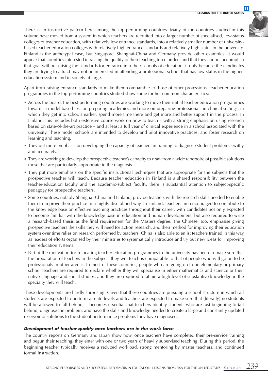

There is an instructive pattern here among the top-performing countries. Many of the countries studied in this volume have moved from a system in which teachers are recruited into a larger number of specialised, low-status colleges of teacher education, with relatively low entrance standards, into a relatively smaller number of universitybased teacher-education colleges with relatively high entrance standards and relatively high status in the university. Finland is the archetypal case, but Singapore, Shanghai-China and Germany provide other examples. It would appear that countries interested in raising the quality of their teaching force understand that they cannot accomplish that goal without raising the standards for entrance into their schools of education, if only because the candidates they are trying to attract may not be interested in attending a professional school that has low status in the highereducation system and in society at large.

Apart from raising entrance standards to make them comparable to those of other professions, teacher-education programmes in the top-performing countries studied show some further common characteristics:

- *•* Across the board, the best-performing countries are working to move their initial teacher-education programmes towards a model based less on preparing academics and more on preparing professionals in clinical settings, in which they get into schools earlier, spend more time there and get more and better support in the process. In Finland, this includes both extensive course work on how to teach – with a strong emphasis on using research based on state-of-the-art practice – and at least a full year of clinical experience in a school associated with the university. These model schools are intended to develop and pilot innovative practices, and foster research on learning and teaching.
- They put more emphasis on developing the capacity of teachers in training to diagnose student problems swiftly and accurately.
- They are working to develop the prospective teacher's capacity to draw from a wide repertoire of possible solutions those that are particularly appropriate to the diagnosis.
- They put more emphasis on the specific instructional techniques that are appropriate for the subjects that the prospective teacher will teach. Because teacher education in Finland is a shared responsibility between the teacher-education faculty and the academic-subject faculty, there is substantial attention to subject-specific pedagogy for prospective teachers.
- Some countries, notably Shanghai-China and Finland, provide teachers with the research skills needed to enable them to improve their practice in a highly disciplined way. In Finland, teachers are encouraged to contribute to the knowledge base on effective teaching practices throughout their career, with candidates not only expected to become familiar with the knowledge base in education and human development, but also required to write a research-based thesis as the final requirement for the Masters degree. The Chinese, too, emphasise giving prospective teachers the skills they will need for action research, and their method for improving their education system over time relies on research performed by teachers. China is also able to enlist teachers trained in this way as leaders of efforts organised by their ministries to systematically introduce and try out new ideas for improving their education systems.
- Part of the motivation for relocating teacher-education programmes to the university has been to make sure that the preparation of teachers in the subjects they will teach is comparable to that of people who will go on to be professionals in other arenas. In most of these countries, people who are going on to be elementary or primary school teachers are required to declare whether they will specialise in either mathematics and science or their native language and social studies, and they are required to attain a high level of substantive knowledge in the specialty they will teach.

These developments are hardly surprising. Given that these countries are pursuing a school structure in which all students are expected to perform at elite levels and teachers are expected to make sure that (literally) no students will be allowed to fall behind, it becomes essential that teachers identify students who are just beginning to fall behind, diagnose the problem, and have the skills and knowledge needed to create a large and constantly updated reservoir of solutions to the student performance problems they have diagnosed.

#### *Development of teacher quality once teachers are in the work force*

The country reports on Germany and Japan show how, once teachers have completed their pre-service training and begun their teaching, they enter with one or two years of heavily supervised teaching. During this period, the beginning teacher typically receives a reduced workload, strong mentoring by master teachers, and continued formal instruction.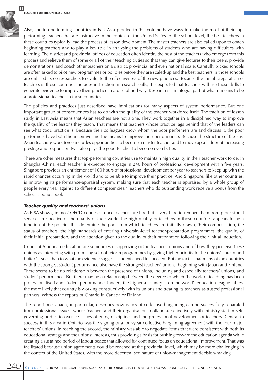

Also, the top-performing countries in East Asia profiled in this volume have ways to make the most of their topperforming teachers that are instructive in the context of the United States. At the school level, the best teachers in these countries typically lead the process of lesson development. The master teachers are also called upon to coach beginning teachers and to play a key role in analysing the problems of students who are having difficulties with learning. The district and provincial offices of education often identify the best of the teachers who emerge from this process and relieve them of some or all of their teaching duties so that they can give lectures to their peers, provide demonstrations, and coach other teachers on a district, provincial and even national scale. Carefully picked schools are often asked to pilot new programmes or policies before they are scaled-up and the best teachers in those schools are enlisted as co-researchers to evaluate the effectiveness of the new practices. Because the initial preparation of teachers in those countries includes instruction in research skills, it is expected that teachers will use those skills to generate evidence to improve their practice in a disciplined way. Research is an integral part of what it means to be a professional teacher in those countries.

The policies and practices just described have implications for many aspects of system performance. But one important group of consequences has to do with the quality of the teacher workforce itself. The tradition of lesson study in East Asia means that Asian teachers are not alone. They work together in a disciplined way to improve the quality of the lessons they teach. That means that teachers whose practice lags behind that of the leaders can see what good practice is. Because their colleagues know whom the poor performers are and discuss it, the poor performers have both the incentive and the means to improve their performance. Because the structure of the East Asian teaching work force includes opportunities to become a master teacher and to move up a ladder of increasing prestige and responsibility, it also pays the good teacher to become even better.

There are other measures that top-performing countries use to maintain high quality in their teacher work force. In Shanghai-China, each teacher is expected to engage in 240 hours of professional development within five years. Singapore provides an entitlement of 100 hours of professional development per year to teachers to keep up with the rapid changes occurring in the world and to be able to improve their practice. And Singapore, like other countries, is improving its performance-appraisal system, making sure that each teacher is appraised by a whole group of people every year against 16 different competencies.8 Teachers who do outstanding work receive a bonus from the school's bonus pool.

#### *Teacher quality and teachers' unions*

As PISA shows, in most OECD countries, once teachers are hired, it is very hard to remove them from professional service, irrespective of the quality of their work. The high quality of teachers in those countries appears to be a function of the policies that determine the pool from which teachers are initially drawn, their compensation, the status of teachers, the high standards of entering university-level teacher-preparation programmes, the quality of their initial preparation, and the attention given to the quality of their preparation following their initial induction.

Critics of American education are sometimes disapproving of the teachers' unions and of how they perceive these unions as interfering with promising school reform programmes by giving higher priority to the unions' "bread and butter" issues than to what the evidence suggests students need to succeed. But the fact is that many of the countries with the strongest student performance also have the strongest teachers' unions, beginning with Japan and Finland. There seems to be no relationship between the presence of unions, including and especially teachers' unions, and student performance. But there may be a relationship between the degree to which the work of teaching has been professionalised and student performance. Indeed, the higher a country is on the world's education league tables, the more likely that country is working constructively with its unions and treating its teachers as trusted professional partners. Witness the reports of Ontario in Canada or Finland.

The report on Canada, in particular, describes how issues of collective bargaining can be successfully separated from professional issues, where teachers and their organisations collaborate effectively with ministry staff in selfgoverning bodies to oversee issues of entry, discipline, and the professional development of teachers. Central to success in this area in Ontario was the signing of a four-year collective bargaining agreement with the four major teachers' unions. In reaching the accord, the ministry was able to negotiate items that were consistent with both its educational strategy and the unions' interests, thus providing a basis for pushing forward the education agenda while creating a sustained period of labour peace that allowed for continued focus on educational improvement. That was facilitated because union agreements could be reached at the provincial level, which may be more challenging in the context of the United States, with the more decentralised nature of union-management decision-making.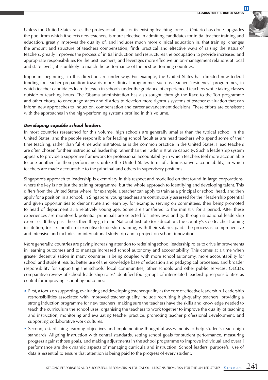

Unless the United States raises the professional status of its existing teaching force as Ontario has done, upgrades the pool from which it selects new teachers, is more selective in admitting candidates for initial teacher training and education, greatly improves the quality of, and includes much more clinical education in, that training, changes the amount and structure of teachers compensation, finds practical and effective ways of raising the status of teachers, greatly improves the process of initial induction and restructures the occupation to provide increased and appropriate responsibilities for the best teachers, and leverages more effective union-management relations at local and state levels, it is unlikely to match the performance of the best-performing countries.

Important beginnings in this direction are under way. For example, the United States has directed new federal funding for teacher preparation towards more clinical programmes such as teacher "residency" programmes, in which teacher candidates learn to teach in schools under the guidance of experienced teachers while taking classes outside of teaching hours. The Obama administration has also sought, through the Race to the Top programme and other efforts, to encourage states and districts to develop more rigorous systems of teacher evaluation that can inform new approaches to induction, compensation and career advancement decisions. These efforts are consistent with the approaches in the high-performing systems profiled in this volume.

#### *Developing capable school leaders*

In most countries researched for this volume, high schools are generally smaller than the typical school in the United States, and the people responsible for leading school faculties are head teachers who spend some of their time teaching, rather than full-time administrators, as is the common practice in the United States. Head teachers are often chosen for their instructional leadership rather than their administrative capacity. Such a leadership system appears to provide a supportive framework for professional accountability in which teachers feel more accountable to one another for their performance, unlike the United States form of administrative accountability, in which teachers are made accountable to the principal and others in supervisory positions.

Singapore's approach to leadership is exemplary in this respect and modelled on that found in large corporations, where the key is not just the training programme, but the whole approach to identifying and developing talent. This differs from the United States where, for example, a teacher can apply to train as a principal or school head, and then apply for a position in a school. In Singapore, young teachers are continuously assessed for their leadership potential and given opportunities to demonstrate and learn by, for example, serving on committees, then being promoted to head of department at a relatively young age. Some are transferred to the ministry for a period. After these experiences are monitored, potential principals are selected for interviews and go through situational leadership exercises. If they pass these, then they go to the National Institute for Education, the country's sole teacher-training institution, for six months of executive leadership training, with their salaries paid. The process is comprehensive and intensive and includes an international study trip and a project on school innovation.

More generally, countries are paying increasing attention to redefining school leadership roles to drive improvements in learning outcomes and to manage increased school autonomy and accountability. This comes at a time when greater decentralisation in many countries is being coupled with more school autonomy, more accountability for school and student results, better use of the knowledge base of education and pedagogical processes, and broader responsibility for supporting the schools' local communities, other schools and other public services. OECD's comparative review of school leadership roles<sup>9</sup> identified four groups of interrelated leadership responsibilities as central for improving schooling outcomes:

- First, a focus on supporting, evaluating and developing teacher quality as the core of effective leadership. Leadership responsibilities associated with improved teacher quality include recruiting high-quality teachers, providing a strong induction programme for new teachers, making sure the teachers have the skills and knowledge needed to teach the curriculum the school uses, organising the teachers to work together to improve the quality of teaching and instruction, monitoring and evaluating teacher practice, promoting teacher professional development, and supporting collaborative work cultures.
- Second, establishing learning objectives and implementing thoughtful assessments to help students reach high standards. Aligning instruction with central standards, setting school goals for student performance, measuring progress against those goals, and making adjustments in the school programme to improve individual and overall performance are the dynamic aspects of managing curricula and instruction. School leaders' purposeful use of data is essential to ensure that attention is being paid to the progress of every student.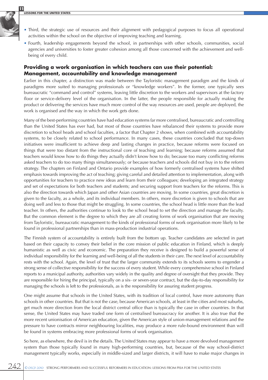- Third, the strategic use of resources and their alignment with pedagogical purposes to focus all operational activities within the school on the objective of improving teaching and learning.
- *•* Fourth, leadership engagements beyond the school, in partnerships with other schools, communities, social agencies and universities to foster greater cohesion among all those concerned with the achievement and wellbeing of every child.

## **Providing a work organisation in which teachers can use their potential: Management, accountability and knowledge management**

Earlier in this chapter, a distinction was made between the Tayloristic management paradigm and the kinds of paradigms more suited to managing professionals or "knowledge workers". In the former, one typically sees bureaucratic "command and control" systems, leaving little discretion to the workers and supervisors at the factory floor or service-delivery level of the organisation. In the latter, the people responsible for actually making the product or delivering the services have much more control of the way resources are used, people are deployed, the work is organised and the way in which the work gets done.

Many of the best-performing countries have had education systems far more centralised, bureaucratic and controlling than the United States has ever had, but most of those countries have rebalanced their systems to provide more discretion to school heads and school faculties, a factor that Chapter 2 shows, when combined with accountability systems, to be closely related to school performance. In many cases, these countries concluded that top-down initiatives were insufficient to achieve deep and lasting changes in practice, because reforms were focused on things that were too distant from the instructional core of teaching and learning; because reforms assumed that teachers would know how to do things they actually didn't know how to do; because too many conflicting reforms asked teachers to do too many things simultaneously; or because teachers and schools did not buy in to the reform strategy. The chapters on Finland and Ontario provide examples of how formerly centralised systems have shifted emphasis towards improving the act of teaching; giving careful and detailed attention to implementation, along with opportunities for teachers to practice new ideas and learn from their colleagues; developing an integrated strategy and set of expectations for both teachers and students; and securing support from teachers for the reforms. This is also the direction towards which Japan and other Asian countries are moving. In some countries, great discretion is given to the faculty, as a whole, and its individual members. In others, more discretion is given to schools that are doing well and less to those that might be struggling. In some countries, the school head is little more than the lead teacher. In others, the authorities continue to look to the school head to set the direction and manage the faculty. But the common element is the degree to which they are all creating forms of work organisation that are moving from Tayloristic, bureaucratic management to the kinds of professional forms of work organisation more likely to be found in professional partnerships than in mass-production industrial operations.

The Finnish system of accountability is entirely built from the bottom up. Teacher candidates are selected in part based on their capacity to convey their belief in the core mission of public education in Finland, which is deeply humanistic as well as civic and economic. The preparation they receive is designed to build a powerful sense of individual responsibility for the learning and well-being of all the students in their care. The next level of accountability rests with the school. Again, the level of trust that the larger community extends to its schools seems to engender a strong sense of collective responsibility for the success of every student. While every comprehensive school in Finland reports to a municipal authority, authorities vary widely in the quality and degree of oversight that they provide. They are responsible for hiring the principal, typically on a six- or seven-year contract, but the day-to-day responsibility for managing the schools is left to the professionals, as is the responsibility for assuring student progress.

One might assume that schools in the United States, with its tradition of local control, have more autonomy than schools in other countries. But that is not the case, because American schools, at least in the cities and most suburbs, get much more direction from the local district central office than is typically the case in other countries. In that sense, the United States may have traded one form of centralised bureaucracy for another. It is also true that the more recent unionisation of American education, given the American style of union-management relations and the pressure to have contracts mirror neighbouring localities, may produce a more rule-bound environment than will be found in systems embracing more professional forms of work organisation.

So here, as elsewhere, the devil is in the details. The United States may appear to have a more devolved management system than those typically found in many high-performing countries, but, because of the way school-district management typically works, especially in middle-sized and larger districts, it will have to make major changes in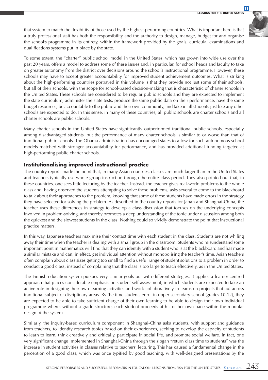

that system to match the flexibility of those used by the highest-performing countries. What is important here is that a truly professional staff has both the responsibility and the authority to design, manage, budget for and organise the school's programme in its entirety, within the framework provided by the goals, curricula, examinations and qualifications systems put in place by the state.

To some extent, the "charter" public school model in the United States, which has grown into wide use over the past 20 years, offers a model to address some of these issues and, in particular, for school heads and faculty to take on greater autonomy from the district over decisions around the school's instructional programme. However, these schools may have to accept greater accountability for improved student achievement outcomes. What is striking about the high-performing countries portrayed in this volume is that they provide not just some of their schools, but all of their schools, with the scope for school-based decision-making that is characteristic of charter schools in the United States. These schools are considered to be regular public schools and they are expected to implement the state curriculum, administer the state tests, produce the same public data on their performance, have the same budget resources, be accountable to the public and their own community, and take in all students just like any other schools are expected to do. In this sense, in many of these countries, all public schools are charter schools and all charter schools are public schools.

Many charter schools in the United States have significantly outperformed traditional public schools, especially among disadvantaged students, but the performance of many charter schools is similar to or worse than that of traditional public schools. The Obama administration has encouraged states to allow for such autonomous school models matched with stronger accountability for performance, and has provided additional funding targeted at high-performing public charter schools.

## **Institutionalising improved instructional practice**

The country reports made the point that, in many Asian countries, classes are much larger than in the United States and teachers typically use whole-group instruction through the entire class period. They also pointed out that, in these countries, one sees little lecturing by the teacher. Instead, the teacher gives real-world problems to the whole class and, having observed the students attempting to solve those problems, asks several to come to the blackboard to talk about their approaches to the problem, knowing that some of those students have made errors in the strategy they have selected for solving the problem. As described in the country reports for Japan and Shanghai-China, the teacher uses these differences in strategy to develop a class discussion that focuses on the underlying concepts involved in problem-solving, and thereby promotes a deep understanding of the topic under discussion among both the quickest and the slowest students in the class. Nothing could so vividly demonstrate the point that instructional practice matters.

In this way, Japanese teachers maximise their contact time with each student in the class. Students are not whiling away their time when the teacher is dealing with a small group in the classroom. Students who misunderstand some important point in mathematics will find that they can identify with a student who is at the blackboard and has made a similar mistake and can, in effect, get individual attention without monopolising the teacher's time. Asian teachers often complain about class sizes getting too small to find a useful range of student solutions to a problem in order to conduct a good class, instead of complaining that the class is too large to teach effectively, as in the United States.

The Finnish education system pursues very similar goals but with different strategies. It applies a learner-centred approach that places considerable emphasis on student self-assessment, in which students are expected to take an active role in designing their own learning activities and work collaboratively in teams on projects that cut across traditional subject or disciplinary areas. By the time students enrol in upper secondary school (grades 10-12), they are expected to be able to take sufficient charge of their own learning to be able to design their own individual programme where, without a grade structure, each student proceeds at his or her own pace within the modular design of the system.

Similarly, the inquiry-based curriculum component in Shanghai-China asks students, with support and guidance from teachers, to identify research topics based on their experiences, seeking to develop the capacity of students to learn to learn, think creatively and critically, participate in social life, and promote social welfare. In fact, one very significant change implemented in Shanghai-China through the slogan "return class time to students" was the increase in student activities in classes relative to teachers' lecturing. This has caused a fundamental change in the perception of a good class, which was once typified by good teaching, with well-designed presentations by the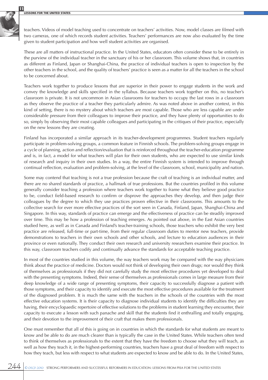teachers. Videos of model teaching used to concentrate on teachers' activities. Now, model classes are filmed with two cameras, one of which records student activities. Teachers' performances are now also evaluated by the time given to student participation and how well student activities are organised.

These are all matters of instructional practice. In the United States, educators often consider these to be entirely in the purview of the individual teacher in the sanctuary of his or her classroom. This volume shows that, in countries as different as Finland, Japan or Shanghai-China, the practice of individual teachers is open to inspection by the other teachers in the school, and the quality of teachers' practice is seen as a matter for all the teachers in the school to be concerned about.

Teachers work together to produce lessons that are superior in their power to engage students in the work and convey the knowledge and skills specified in the syllabus. Because teachers work together on this, no teacher's classroom is private. It is not uncommon in Asian classrooms for teachers to occupy the last rows in a classroom as they observe the practice of a teacher they particularly admire. As was noted above in another context, in this kind of setting, there is no mystery about which teachers are most capable. Those who are less capable are under considerable pressure from their colleagues to improve their practice, and they have plenty of opportunities to do so, simply by observing their most capable colleagues and participating in the critiques of their practice, especially on the new lessons they are creating.

Finland has incorporated a similar approach in its teacher-development programmes. Student teachers regularly participate in problem-solving groups, a common feature in Finnish schools. The problem-solving groups engage in a cycle of planning, action and reflection/evaluation that is reinforced throughout the teacher-education programme and is, in fact, a model for what teachers will plan for their own students, who are expected to use similar kinds of research and inquiry in their own studies. In a way, the entire Finnish system is intended to improve through continual reflection, evaluation and problem-solving, at the level of the classroom, school, municipality and nation.

Some may contend that teaching is not a true profession because the craft of teaching is an individual matter, and there are no shared standards of practice, a hallmark of true professions. But the countries profiled in this volume generally consider teaching a profession where teachers work together to frame what they believe good practice to be, conduct field-based research to confirm or disprove the approaches they develop, and then judge their colleagues by the degree to which they use practices proven effective in their classrooms. This amounts to the collective search for ever more effective practices of the sort seen in Canada, Finland, Japan, Shanghai-China and Singapore. In this way, standards of practice can emerge and the effectiveness of practice can be steadily improved over time. This may be how a profession of teaching emerges. As pointed out above, in the East Asian countries studied here, as well as in Canada and Finland's teacher-training schools, those teachers who exhibit the very best practice are released, full-time or part-time, from their regular classroom duties to mentor new teachers, provide demonstrations to teachers in their own schools and other schools, and lecture to education audiences in their province or even nationally. They conduct their own research and university researchers examine their practice. In this way, classroom teachers codify and continually advance the standards for acceptable teaching practice.

In most of the countries studied in this volume, the way teachers work may be compared with the way physicians think about the practice of medicine. Doctors would not think of developing their own drugs; nor would they think of themselves as professionals if they did not carefully study the most effective procedures yet developed to deal with the presenting symptoms. Indeed, their sense of themselves as professionals comes in large measure from their deep knowledge of a wide range of presenting symptoms, their capacity to successfully diagnose a patient with those symptoms, and their capacity to identify and execute the most effective procedures available for the treatment of the diagnosed problem. It is much the same with the teachers in the schools of the countries with the most effective education systems. It is their capacity to diagnose individual students to identify the difficulties they are having, their encyclopaedic repertoire of effective solutions to the problems in student learning they encounter, their capacity to execute a lesson with such panache and skill that the students find it enthralling and totally engaging, and their devotion to the improvement of their craft that makes them professionals.

One must remember that all of this is going on in countries in which the standards for what students are meant to know and be able to do are much clearer than is typically the case in the United States. While teachers often tend to think of themselves as professionals to the extent that they have the freedom to choose what they will teach, as well as how they teach it, in the highest-performing countries, teachers have a great deal of freedom with respect to how they teach, but less with respect to what students are expected to know and be able to do. In the United States,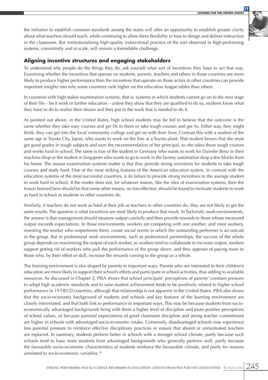

the initiative to establish common standards among the states will offer an opportunity to establish greater clarity about what teachers should teach, while continuing to allow them flexibility in how to design and deliver instruction in the classroom. But institutionalising high-quality instructional practice of the sort observed in high-performing systems, consistently and at scale, will remain a formidable challenge.

## **Aligning incentive structures and engaging stakeholders**

To understand why people do the things they do, ask yourself what sort of incentives they have to act that way. Examining whether the incentives that operate on students, parents, teachers and others in those countries are more likely to produce higher performance than the incentives that operate on those actors in other countries can provide important insights into why some countries rank higher on the education league tables than others.

In countries with high-stakes examination systems, that is, systems in which students cannot go on to the next stage of their life – be it work or further education – unless they show that they are qualified to do so, students know what they have to do to realise their dream and they put in the work that is needed to do it.

As pointed out above, in the United States, high school students may be led to believe that the outcome is the same whether they take easy courses and get Ds in them or take tough courses and get As. Either way, they might think, they can get into the local community college and get on with their lives. Contrast this with a student of the same age in Toyota City, Japan, who wants to work on the line at a Toyota plant. That student knows that she must get good grades in tough subjects and earn the recommendation of her principal, so she takes those tough courses and works hard in school. The same is true of the student in Germany who wants to work for Daimler Benz in their machine shop or the student in Singapore who wants to go to work in the factory automation shop a few blocks from his home. The reason examination systems matter is that they provide strong incentives for students to take tough courses and study hard. One of the most striking features of the American education system, in contrast with the education systems of the most successful countries, is its failure to provide strong incentives to the average student to work hard in school. If the reader does not, for whatever reason, like the idea of examination systems, then the lesson learned here should be that some other means, no less effective, should be found to motivate students to work as hard in school as students in other countries do.

Similarly, if teachers do not work as hard at their job as teachers in other countries do, they are not likely to get the same results. The question is what incentives are most likely to produce that result. In Tayloristic work environments, the answer is that management should measure output carefully and then provide rewards to those whose measured output exceeds expectations. In those environments, workers are competing with one another, and most workers, resenting the worker who outperforms them, create social norms in which the outstanding performer is an outcast in the group. But in professional work environments, such as professional partnerships, the success of the whole group depends on maximising the output of each worker, so workers tend to collaborate to increase output, workers support getting rid of workers who pull the performance of the group down, and they approve of paying more to those who, by their effort or skill, increase the rewards coming to the group as a whole.

The learning environment is also shaped by parents in important ways. Parents who are interested in their children's education are more likely to support their school's efforts and participate in school activities, thus adding to available resources. As discussed in Chapter 2, PISA shows that school principals' perceptions of parents' constant pressure to adopt high academic standards and to raise student achievement tends to be positively related to higher school performance in 19 OECD countries, although that relationship is not apparent in the United States. PISA also shows that the socio-economic background of students and schools and key features of the learning environment are closely interrelated, and that both link to performance in important ways. This may be because students from socioeconomically advantaged backgrounds bring with them a higher level of discipline and more positive perceptions of school values, or because parental expectations of good classroom discipline and strong teacher commitment are higher in schools with advantaged socio-economic intake. Conversely, disadvantaged schools may experience less parental pressure to reinforce effective disciplinary practices or ensure that absent or unmotivated teachers are replaced. In summary, students perform better in schools with a stronger school climate, partly because such schools tend to have more students from advantaged backgrounds who generally perform well, partly because the favourable socio-economic characteristics of students reinforce the favourable climate, and partly for reasons unrelated to socio-economic variables.10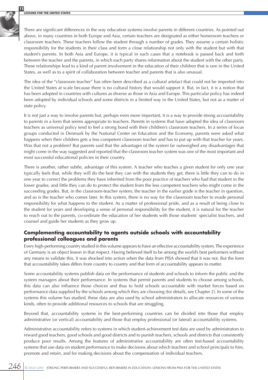There are significant differences in the way education systems involve parents in different countries. As pointed out above, in many countries in both Europe and Asia, certain teachers are designated as either homeroom teachers or classroom teachers. These teachers follow the student through a number of grades. They assume a certain holistic responsibility for the students in their class and form a close relationship not only with the student but with that student's parents. In both Asia and Europe, it is typical in such cases that a notebook is passed back and forth between the teacher and the parents, in which each party shares information about the student with the other party. These relationships lead to a kind of parent involvement in the education of their children that is rare in the United States, as well as to a spirit of collaboration between teacher and parents that is also unusual.

The idea of the "classroom teacher" has often been described as a cultural artefact that could not be imported into the United States at scale because there is no cultural history that would support it. But, in fact, it is a notion that has been adopted in countries with cultures as diverse as those in Asia and Europe. This particular policy has indeed been adopted by individual schools and some districts in a limited way in the United States, but not as a matter of state policy.

It is not just a way to involve parents but, perhaps even more important, it is a way to provide strong accountability to parents in a form that seems appropriate to teachers. Parents in systems that have adopted the idea of classroom teachers as universal policy tend to feel a strong bond with their children's classroom teachers. In a series of focus groups conducted in Denmark by the National Center on Education and the Economy, parents were asked what happens when their children gets a less competent classroom teacher and has to put up with that teacher for years. Was that not a problem? But parents said that the advantages of the system far outweighed any disadvantages that might come in the way suggested and reported that the classroom teacher system was one of the most important and most successful educational policies in their country.

There is another, rather subtle, advantage of this system. A teacher who teaches a given student for only one year typically feels that, while they will do the best they can with the students they get, there is little they can to do in one year to correct the problems they have inherited from the poor practice of teachers who had that student in the lower grades, and little they can do to protect the student from the less competent teachers who might come in the succeeding grades. But, in the classroom-teacher system, the teacher in the earlier grade is the teacher in question, and so is the teacher who comes later. In this system, there is no way for the classroom teacher to evade personal responsibility for what happens to the student. As a matter of professional pride, and as a result of being close to the student for years and developing a sense of personal responsibility for the student, it is natural for the teacher to reach out to the parents, co-ordinate the education of her students with those students' specialist teachers, and counsel and guide her students as they grow up.

# **Complementing accountability to agents outside schools with accountability professional colleagues and parents**

Every high-performing country studied in this volume appears to have an effective accountability system. The experience of Germany is an object lesson in that respect. Having believed itself to be among the world's best performers without any means to validate this, it was shocked into action when the data from PISA showed that it was not. But the form that accountability takes differs from country to country and that form of accountability appears to matter.

Some accountability systems publish data on the performance of students and schools to inform the public and the system managers about their performance. In systems that permit parents and students to choose among schools, this data can also influence those choices and thus to hold schools accountable with market forces based on performance data supplied by the schools among which they are choosing (for details, see Chapter 2). In some of the systems this volume has studied, these data are also used by school administrators to allocate resources of various kinds, often to provide additional resources to schools that are struggling.

Beyond that, accountability systems in the best-performing countries can be divided into those that employ administrative (or vertical) accountability and those that employ professional (or lateral) accountability systems.

Administrative accountability refers to systems in which student-achievement test data are used by administrators to reward good teachers, good schools and good districts and to punish teachers, schools and districts that consistently produce poor results. Among the features of administrative accountability are often test-based accountability systems that use data on student performance to make decisions about which teachers and school principals to hire, promote and retain, and for making decisions about the compensation of individual teachers.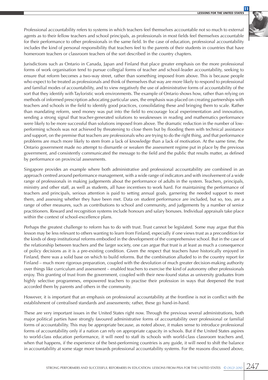

Professional accountability refers to systems in which teachers feel themselves accountable not so much to external agents as to their fellow teachers and school principals, as professionals in most fields feel themselves accountable for their performance to other professionals in the same field. In the case of education, professional accountability includes the kind of personal responsibility that teachers feel to the parents of their students in countries that have homeroom teachers or classroom teachers of the sort described in the country chapters.

Jurisdictions such as Ontario in Canada, Japan and Finland that place greater emphasis on the more professional forms of work organisation tend to pursue collegial forms of teacher and school-leader accountability, seeking to ensure that reform becomes a two-way street, rather than something imposed from above. This is because people who expect to be treated as professionals and think of themselves that way are more likely to respond to professional and familial modes of accountability, and to view negatively the use of administrative forms of accountability of the sort that they identify with Tayloristic work environments. The example of Ontario shows how, rather than relying on methods of informed prescription advocating particular uses, the emphasis was placed on creating partnerships with teachers and schools in the field to identify good practices, consolidating these and bringing them to scale. Rather than mandating reform, seed money was put into the field to encourage local experimentation and innovation, sending a strong signal that teacher-generated solutions to weaknesses in reading and mathematics performance were likely to be more successful than solutions imposed from above. The dramatic reduction in the number of lowperforming schools was not achieved by threatening to close them but by flooding them with technical assistance and support, on the premise that teachers are professionals who are trying to do the right thing, and that performance problems are much more likely to stem from a lack of knowledge than a lack of motivation. At the same time, the Ontario government made no attempt to dismantle or weaken the assessment regime put in place by the previous government, and consistently communicated the message to the field and the public that results matter, as defined by performance on provincial assessments.

Singapore provides an example where both administrative and professional accountability are combined in an approach centred around performance management, with a wide range of indicators and with involvement of a wide range of professionals in making judgements about the performance of adults in the system. Teachers, principals, ministry and other staff, as well as students, all have incentives to work hard. For maintaining the performance of teachers and principals, serious attention is paid to setting annual goals, garnering the needed support to meet them, and assessing whether they have been met. Data on student performance are included, but so, too, are a range of other measures, such as contributions to school and community, and judgements by a number of senior practitioners. Reward and recognition systems include honours and salary bonuses. Individual appraisals take place within the context of school-excellence plans.

Perhaps the greatest challenge to reform has to do with trust. Trust cannot be legislated. Some may argue that this lesson may be less relevant to others wanting to learn from Finland, especially if one views trust as a precondition for the kinds of deep institutional reforms embodied in the development of the comprehensive school. But in the case of the relationship between teachers and the larger society, one can argue that trust is at least as much a consequence of policy decisions as it is a pre-existing condition. Given the respect that teachers have historically enjoyed in Finland, there was a solid base on which to build reforms. But the combination alluded to in the country report for Finland – much more rigorous preparation, coupled with the devolution of much greater decision-making authority over things like curriculum and assessment – enabled teachers to exercise the kind of autonomy other professionals enjoy. This granting of trust from the government, coupled with their new-found status as university graduates from highly selective programmes, empowered teachers to practise their profession in ways that deepened the trust accorded them by parents and others in the community.

However, it is important that an emphasis on professional accountability at the frontline is not in conflict with the establishment of centralised standards and assessments; rather, these go hand-in-hand.

These are very important issues in the United States right now. Through the previous several administrations, both major political parties have strongly favoured administrative forms of accountability over professional or familial forms of accountability. This may be appropriate because, as noted above, it makes sense to introduce professional forms of accountability only if a nation can rely on appropriate capacity in schools. But if the United States aspires to world-class education performance, it will need to staff its schools with world-class classroom teachers and, when that happens, if the experience of the best-performing countries is any guide, it will need to shift the balance in accountability at some stage more towards professional accountability systems. For the reasons discussed above,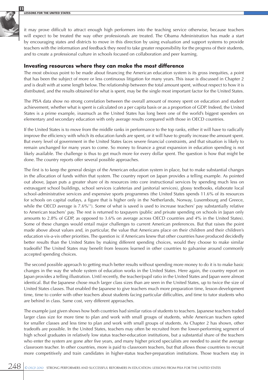

it may prove difficult to attract enough high performers into the teaching service otherwise, because teachers will expect to be treated the way other professionals are treated. The Obama Administration has made a start by encouraging states and districts to move in this direction by using evaluation and support systems to provide teachers with the information and feedback they need to take greater responsibility for the progress of their students, and to create a professional culture in schools focused on collaboration and peer learning.

### **Investing resources where they can make the most difference**

The most obvious point to be made about financing the American education system is its gross inequities, a point that has been the subject of more or less continuous litigation for many years. This issue is discussed in Chapter 2 and is dealt with at some length below. The relationship between the total amount spent, without respect to how it is distributed, and the results obtained for what is spent, may be the single most important factor for the United States.

The PISA data show no strong correlation between the overall amount of money spent on education and student achievement, whether what is spent is calculated on a per capita basis or as a proportion of GDP. Indeed, the United States is a prime example, inasmuch as the United States has long been one of the world's biggest spenders on elementary and secondary education with only average results compared with those in OECD countries.

If the United States is to move from the middle ranks in performance to the top ranks, either it will have to radically improve the efficiency with which its education funds are spent, or it will have to greatly increase the amount spent. But every level of government in the United States faces severe financial constraints, and that situation is likely to remain unchanged for many years to come. So money to finance a great expansion in education spending is not likely available. The challenge is thus to get much more for every dollar spent. The question is how that might be done. The country reports offer several possible approaches.

The first is to keep the general design of the American education system in place, but to make substantial changes in the allocation of funds within that system. The country report on Japan provides a telling example. As pointed out above, Japan puts a greater share of its resources into core instructional services by spending much less on extravagant school buildings, school services (cafeterias and janitorial services), glossy textbooks, elaborate local school-administrative services and expensive sports programmes (the United States spends 11.6% of its resources for schools on capital outlays, a figure that is higher only in the Netherlands, Norway, Luxembourg and Greece, while the OECD average is 7.6%<sup>11</sup>). Some of what is saved is used to increase teachers' pay substantially relative to American teachers' pay. The rest is returned to taxpayers (public and private spending on schools in Japan only amounts to 2.8% of GDP, as opposed to 3.6% on average across OECD countries and 4% in the United States). Some of these changes would entail major challenges to current American preferences. But that raises the point made above about values and, in particular, the value that Americans place on their children and their children's education vis-a-vis other priorities. The question is: if Americans knew that other countries have produced decidedly better results than the United States by making different spending choices, would they choose to make similar tradeoffs? The United States may benefit from lessons learned in other countries to galvanise around commonly accepted spending choices.

The second possible approach to getting much better results without spending more money to do it is to make basic changes in the way the whole system of education works in the United States. Here again, the country report on Japan provides a telling illustration. Until recently, the teacher/pupil ratio in the United States and Japan were almost identical. But the Japanese chose much larger class sizes than are seen in the United States, up to twice the size of United States classes. That enabled the Japanese to give teachers much more preparation time, lesson-development time, time to confer with other teachers about students facing particular difficulties, and time to tutor students who are behind in class. Same cost, very different approaches.

The example just given shows how both countries had similar ratios of students to teachers. Japanese teachers traded larger class size for more time to plan and work with small groups of students, while American teachers opted for smaller classes and less time to plan and work with small groups of students. As Chapter 2 has shown, other tradeoffs are possible. In the United States, teachers may often be recruited from the lower-performing segment of high school graduates in relatively low status teacher-education institutions, but a substantial share of the teachers who enter the system are gone after five years, and many higher priced specialists are needed to assist the average classroom teacher. In other countries, more is paid to classroom teachers, but that allows those countries to recruit more competitively and train candidates in higher-status teacher-preparation institutions. Those teachers stay in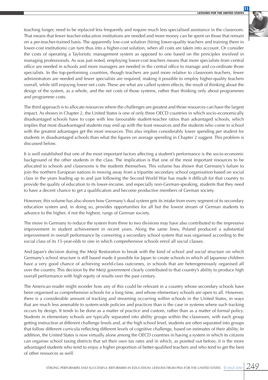teaching longer, need to be replaced less frequently and require much less specialised assistance in the classroom. That means that fewer teacher-education institutions are needed and more money can be spent on those that remain on a per-teacher-trained basis. The apparently low-cost solution (hiring lower-quality teachers and training them in lower-cost institutions) can turn thus into a higher-cost solution, when all costs are taken into account. Or consider the costs of operating a Tayloristic management system as opposed to one based on the principles involved in managing professionals. As was just noted, employing lower-cost teachers means that more specialists from central office are needed in schools and more managers are needed in the central office to manage and co-ordinate those specialists. In the top-performing countries, though teachers are paid more relative to classroom teachers, fewer administrators are needed and fewer specialists are required, making it possible to employ higher-quality teachers overall, while still enjoying lower net costs. These are what are called system effects, the result of thinking about the design of the system, as a whole, and the net costs of those systems, rather than thinking only about programmes and programme costs.

The third approach is to allocate resources where the challenges are greatest and those resources can have the largest impact. As shown in Chapter 2, the United States is one of only three OECD countries in which socio-economically disadvantaged schools have to cope with less favourable student-teacher ratios than advantaged schools, which implies that most disadvantaged students may end up with the least resources and the students who come to school with the greatest advantages get the most resources. This also implies considerably lower spending per student for students in disadvantaged schools than what the figures on average spending in Chapter 2 suggest. This problem is discussed below.

It is well established that one of the most important factors affecting a student's performance is the socio-economic background of the other students in the class. The implication is that one of the most important resources to be allocated to schools and classrooms is the students themselves. This volume has shown that Germany's failure to join the northern European nations in moving away from a tripartite secondary school organisation based on social class in the years leading up to and just following the Second World War has made it difficult for that country to provide the quality of education to its lower-income, and especially non-German-speaking, students that they need to have a decent chance to get a qualification and become productive members of German society.

However, this volume has also shown how Germany's dual system gets its intake from every segment of its secondary education system and, in doing so, provides opportunities for all but the lowest stream of German students to advance to the higher, if not the highest, rungs of German society.

The move in Germany to reduce the system from three to two divisions may have also contributed to the impressive improvement in student achievement in recent years. Along the same lines, Poland produced a substantial improvement in overall performance by converting a secondary school system that was organised according to the social class of its 15-year-olds to one in which comprehensive schools enrol all social classes.

And Japan's decision during the Meiji Restoration to break with the kind of school and social structure on which Germany's school structure is still based made it possible for Japan to create schools in which all Japanese children have a very good chance of achieving world-class outcomes, in schools that are heterogeneously organised all over the country. This decision by the Meiji government clearly contributed to that country's ability to produce high overall performance with high equity of results over the past century.

The American reader might wonder how any of this could be relevant in a country whose secondary schools have been organised as comprehensive schools for a long time, and whose elementary schools are open to all. However, there is a considerable amount of tracking and streaming occurring within schools in the United States, in ways that are much less amenable to system-wide policies and practices than is the case in systems where such tracking occurs by design. It tends to be done as a matter of practice and custom, rather than as a matter of formal policy. Students in elementary schools are typically separated into ability groups within the classroom, with each group getting instruction at different challenge levels and, at the high school level, students are often separated into groups that follow different curricula reflecting different levels of cognitive challenge, based on estimates of their ability. In addition, the United States is now virtually alone among the OECD countries in having a system in which its citizens can organise school taxing districts that set their own tax rates and in which, as pointed out before, it is the more advantaged students who tend to enjoy a higher proportion of better-qualified teachers and who tend to get the best of other resources as well.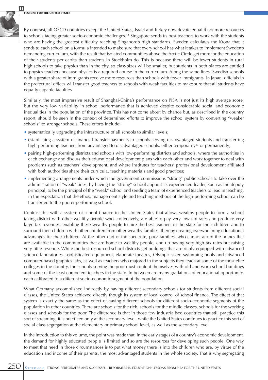

By contrast, all OECD countries except the United States, Israel and Turkey now devote equal if not more resources to schools facing greater socio-economic challenges.12 Singapore sends its best teachers to work with the students who are having the greatest difficulty reaching Singapore's high standards. Sweden calculates the Krona that it sends to each school on a formula intended to make sure that every school has what it takes to implement Sweden's demanding curriculum, with the result that isolated communities above the Arctic Circle get more for the education of their students per capita than students in Stockholm do. This is because there will be fewer students in rural high schools to take physics than in the city, so class sizes will be smaller, but students in both places are entitled to physics teachers because physics is a required course in the curriculum. Along the same lines, Swedish schools with a greater share of immigrants receive more resources than schools with fewer immigrants. In Japan, officials in the prefectural offices will transfer good teachers to schools with weak faculties to make sure that all students have equally capable faculties.

Similarly, the most impressive result of Shanghai-China's performance on PISA is not just its high average score, but the very low variability in school performance that is achieved despite considerable social and economic inequalities in the population of the province. This has not come about by chance but, as described in the country report, should be seen in the context of determined efforts to improve the school system by converting "weaker schools" to stronger schools. These efforts include:

- **•** systematically upgrading the infrastructure of all schools to similar levels;
- establishing a system of financial transfer payments to schools serving disadvantaged students and transferring high-performing teachers from advantaged to disadvantaged schools, either temporarily<sup>13</sup> or permanently;
- *•* pairing high-performing districts and schools with low-performing districts and schools, where the authorities in each exchange and discuss their educational development plans with each other and work together to deal with problems such as teachers' development, and where institutes for teachers' professional development affiliated with both authorities share their curricula, teaching materials and good practices;
- implementing arrangements under which the government commissions "strong" public schools to take over the administration of "weak" ones, by having the "strong" school appoint its experienced leader, such as the deputy principal, to be the principal of the "weak" school and sending a team of experienced teachers to lead in teaching, in the expectation that the ethos, management style and teaching methods of the high-performing school can be transferred to the poorer-performing school.

Contrast this with a system of school finance in the United States that allows wealthy people to form a school taxing district with other wealthy people who, collectively, are able to pay very low tax rates and produce very large tax revenues, enabling these wealthy people to hire the best teachers in the state for their children and to surround their children with other children from other wealthy families, thereby creating overwhelming educational advantages for their children. At the other end of the spectrum, poor families, who cannot afford the homes that are available in the communities that are home to wealthy people, end up paying very high tax rates but raising very little revenue. While the best-resourced school districts get buildings that are richly equipped with advanced science laboratories, sophisticated equipment, elaborate theatres, Olympic-sized swimming pools and advanced computer-based graphics labs, as well as teachers who majored in the subjects they teach at some of the most elite colleges in the country, the schools serving the poor must content themselves with old and worn school buildings and some of the least competent teachers in the state. In between are many gradations of educational opportunity, each calibrated to a different socio-economic segment of the population.

What Germany accomplished indirectly by having different secondary schools for students from different social classes, the United States achieved directly though its system of local control of school finance. The effect of that system is exactly the same as the effect of having different schools for different socio-economic segments of the population in other countries. There are schools for the rich, schools for the middle classes, schools for the working classes and schools for the poor. The difference is that in those few industrialised countries that still practice this sort of streaming, it is practiced only at the secondary level, while the United States continues to practice this sort of social class segregation at the elementary or primary school level, as well as the secondary level.

In the introduction to this volume, the point was made that, in the early stages of a country's economic development, the demand for highly educated people is limited and so are the resources for developing such people. One way to meet that need in those circumstances is to put what money there is into the children who are, by virtue of the education and income of their parents, the most advantaged students in the whole society. That is why segregating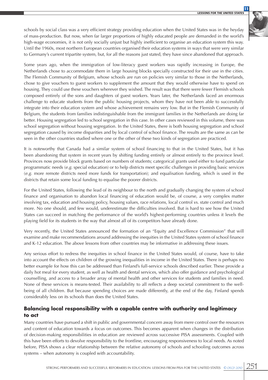

schools by social class was a very efficient strategy providing education when the United States was in the heyday of mass-production. But now, when far larger proportions of highly educated people are demanded in the world's high-wage economies, it is not only socially unjust but highly inefficient to organise an education system this way. Until the 1960s, most northern European countries organised their education systems in ways that were very similar to Germany's current tripartite system, but, for all the reasons just stated, they have since abandoned that approach.

Some years ago, when the immigration of low-literacy guest workers was rapidly increasing in Europe, the Netherlands chose to accommodate them in large housing blocks specially constructed for their use in the cities. The Flemish Community of Belgium, whose schools are run on policies very similar to those in the Netherlands, chose to give vouchers to guest workers to supplement the amount that they would otherwise have to spend on housing. They could use these vouchers wherever they wished. The result was that there were fewer Flemish schools composed entirely of the sons and daughters of guest workers. Years later, the Netherlands faced an enormous challenge to educate students from the public housing projects, whom they have not been able to successfully integrate into their education system and whose achievement remains very low. But in the Flemish Community of Belgium, the students from families indistinguishable from the immigrant families in the Netherlands are doing far better. Housing segregation led to school segregation in this case. In other cases reviewed in this volume, there was school segregation without housing segregation. In the United States, there is both housing segregation and school segregation caused by income disparities and by local control of school finance. The results are the same as can be seen in the other countries studied where one or the other of these two kinds of segregation are practiced.

It is noteworthy that Canada had a similar system of school financing to that in the United States, but it has been abandoning that system in recent years by shifting funding entirely or almost entirely to the province level. Provinces now provide block grants based on numbers of students; categorical grants used either to fund particular programmatic needs (*e.g.* special education) or to help districts meet specific challenges in providing basic services (*e.g.* more remote districts need more funds for transportation); and equalisation funding, which is used in the districts that retain some local funding to equalise the poorer districts.

For the United States, following the lead of its neighbour to the north and gradually changing the system of school finance and organisation to abandon local financing of education would be, of course, a very complex matter involving tax, education and housing policy, housing values, race relations, local control vs. state control and much more. No one should, and few would, underestimate the difficulties involved. But is hard to see how the United States can succeed in matching the performance of the world's highest-performing countries unless it levels the playing field for its students in the way that almost all of its competitors have already done.

Very recently, the United States announced the formation of an "Equity and Excellence Commission" that will examine and make recommendations around addressing the inequities in the United States system of school finance and K-12 education. The above lessons from other countries may be informative in addressing these issues.

Any serious effort to redress the inequities in school finance in the United States would, of course, have to take into account the effects on children of the growing inequalities in income in the United States. There is perhaps no better example for how this can be addressed than Finland's full-service schools described earlier. These provide a daily hot meal for every student, as well as health and dental services, which also offer guidance and psychological counselling, and access to a broader array of mental health and other services for students and families in need. None of these services is means-tested. Their availability to all reflects a deep societal commitment to the wellbeing of all children. But because spending choices are made differently, at the end of the day, Finland spends considerably less on its schools than does the United States.

# **Balancing local responsibility with a capable centre with authority and legitimacy to act**

Many countries have pursued a shift in public and governmental concern away from mere control over the resources and content of education towards a focus on outcomes. This becomes apparent when changes in the distribution of decision-making responsibilities in education are reviewed across successive PISA assessments. Coupled with this have been efforts to devolve responsibility to the frontline, encouraging responsiveness to local needs. As noted before, PISA shows a clear relationship between the relative autonomy of schools and schooling outcomes across systems – when autonomy is coupled with accountability.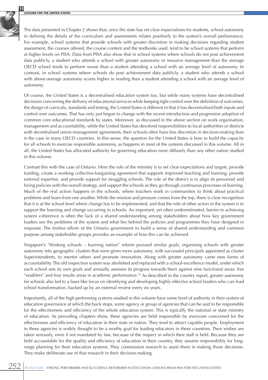

The data presented in Chapter 2 shows that, once the state has set clear expectations for students, school autonomy in defining the details of the curriculum and assessments relates positively to the system's overall performance. For example, school systems that provide schools with greater discretion in making decisions regarding student assessment, the courses offered, the course content and the textbooks used, tend to be school systems that perform at higher levels on PISA. Data from PISA also show that in school systems where schools do not post achievement data publicly, a student who attends a school with greater autonomy in resource management than the average OECD school tends to perform worse than a student attending a school with an average level of autonomy. In contrast, in school systems where schools do post achievement data publicly, a student who attends a school with above-average autonomy scores higher in reading than a student attending a school with an average level of autonomy.

Of course, the United States is a decentralised education system too, but while many systems have decentralised decisions concerning the delivery of educational services while keeping tight control over the definition of outcomes, the design of curricula, standards and testing, the United States is different in that it has decentralised both inputs and control over outcomes. That has only just begun to change with the recent introduction and progressive adoption of common core educational standards by states. Moreover, as discussed in the above section on work organisation, management and accountability, while the United States has devolved responsibilities to local authorities or districts with decentralised union-management agreements, their schools often have less discretion in decision-making than is the case in many OECD countries. In this sense, the question for the United States is how to build the capacity for all schools to exercise responsible autonomy, as happens in most of the systems discussed in this volume. All in all, the United States has allocated authority for governing education more diffusely than any other nation studied in this volume.

Contrast this with the case of Ontario. Here the role of the ministry is to set clear expectations and targets, provide funding, create a working collective-bargaining agreement that supports improved teaching and learning, provide external expertise, and provide support for struggling schools. The role of the district is to align its personnel and hiring policies with the overall strategy, and support the schools as they go through continuous processes of learning. Much of the real action happens in the schools, where teachers work in communities to think about practical problems and learn from one another. While the mission and pressure comes from the top, there is clear recognition that it is at the school level where change has to be implemented, and that the role of other actors in the system is to support the learning and change occurring in schools. An important, yet often underestimated, barrier to achieving system coherence is often the lack of a shared understanding among stakeholders about how key government leaders see the problems of the system and what lies behind the policies and programmes they have designed in response. The tireless efforts of the Ontario government to build a sense of shared understanding and common purpose among stakeholder groups provides an example of how this can be achieved.

Singapore's "thinking schools – learning nation" reform pursued similar goals, organising schools with greater autonomy into geographic clusters that were given more autonomy, with successful principals appointed as cluster Superintendents, to mentor others and promote innovation. Along with greater autonomy came new forms of accountability. The old inspection system was abolished and replaced with a school-excellence model, under which each school sets its own goals and annually assesses its progress towards them against nine functional areas: five "enablers" and four results areas in academic performance.14 As described in the country report, greater autonomy for schools also led to a laser-like focus on identifying and developing highly effective school leaders who can lead school transformation, backed up by an external review every six years.

Importantly, all of the high-performing systems studied in this volume have some level of authority in their system of education governance at which the buck stops, some agency or group of agencies that can be said to be responsible for the effectiveness and efficiency of the whole education system. This is typically the national or state ministry of education. As preceding chapters show, these agencies are held responsible by everyone concerned for the effectiveness and efficiency of education in their state or nation. They tend to attract capable people. Employment in these agencies is widely thought to be a worthy goal for leading educators in these countries. Their wishes are taken seriously, even if not mandated by law, because of the respect in which their staff is held. Because they are held accountable for the quality and efficiency of education in their country, they assume responsibility for longrange planning for their education systems. They commission research to assist them in making those decisions. They make deliberate use of that research in their decision-making.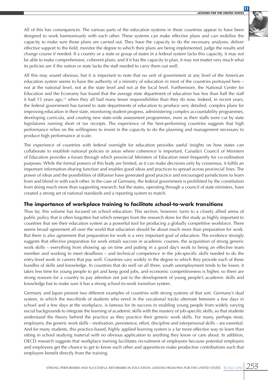

All of this has consequences. The various parts of the education systems in these countries appear to have been designed to work harmoniously with each other. These systems can make effective plans and can mobilise the capacity to make sure those plans are carried out. They have the capacity to do the necessary analyses, deliver effective support to the field, monitor the degree to which their plans are being implemented, judge the results and change course if needed. If a country or a state or group of states in a federal system lacks this capacity, it may not be able to make comprehensive, coherent plans; and if it has the capacity to plan, it may not matter very much what its policies are if the nation or state lacks the staff needed to carry them out well.

All this may sound obvious, but it is important to note that no unit of government at any level of the American education system seems to have the authority of a ministry of education in most of the countries portrayed here – not at the national level, not at the state level and not at the local level. Furthermore, the National Center for Education and the Economy has found that the average state department of education has less than half the staff it had 15 years ago,<sup>15</sup> when they all had many fewer responsibilities than they do now. Indeed, in recent years, the federal government has turned to state departments of education to produce very detailed, complex plans for improving education in their state, monitoring student progress, administering complex accountability programmes, developing curricula, and creating new state-wide assessment programmes, even as their staffs were cut by state legislatures running short of tax receipts. The experience of the best-performing countries suggests that high performance relies on the willingness to invest in the capacity to do the planning and management necessary to produce high performance at scale.

The experience of countries with federal oversight for education provides useful insights on how states can collaborate to establish national policies in areas where coherence is important. Canada's Council of Ministers of Education provides a forum through which provincial Ministers of Education meet frequently for co-ordination purposes. While the formal powers of this body are limited, as it can make decisions only by consensus, it fulfils an important information-sharing function and enables good ideas and practices to spread across provincial lines. The power of ideas and the possibilities of diffusion have generated good practice and encouraged jurisdictions to learn from and blend in with each other. In the case of Germany, the federal government is prohibited by the constitution from doing much more than supporting research; but the states, operating through a council of state ministers, have created a strong set of national standards and a reporting system to match.

## **The importance of workplace training to facilitate school-to-work transitions**

Thus far, this volume has focused on school education. This section, however, turns to a closely allied arena of public policy that is often forgotten but which emerges from the research done for this study as highly important to countries that see their education system as a powerful tool for producing a globally competitive workforce. There seems broad agreement all over the world that education should be about much more than preparation for work. But there is also agreement that preparation for work is a very important goal of education. The evidence strongly suggests that effective preparation for work entails success in academic courses, the acquisition of strong generic work skills – everything from showing up on time and putting in a good day's work to being an effective team member and working to meet deadlines – and technical competence in the job-specific skills needed to do the entry-level work in careers that pay well. Countries vary widely in the degree to which they provide each of these bundles of skills and knowledge. In countries that do well on all three, youth unemployment tends to be lower, it takes less time for young people to get and keep good jobs, and economic competitiveness is higher, so there are strong reasons for a country to pay attention not just to the development of young people's academic skills and knowledge but to make sure it has a strong school-to-work transition system.

Germany and Japan present two different examples of countries with strong systems of that sort. Germany's dual system, in which the two-thirds of students who enrol in the vocational tracks alternate between a few days in school and a few days at the workplace, is famous for its success in enabling young people from widely varying social backgrounds to integrate the learning of academic skills with the mastery of job-specific skills, so that students understand the theory behind the practice as they practice their generic work skills. For many, perhaps most, employers, the generic work skills – motivation, persistence, effort, discipline and interpersonal skills – are essential. And for many students, this practice-based, highly applied learning system is a far more effective way to learn than sitting in school studying material with no obvious application to anything they know or care about. In addition, OECD research suggests that workplace training facilitates recruitment of employees because potential employers and employees get the chance to get to know each other and apprentices make productive contributions such that employers benefit directly from the training.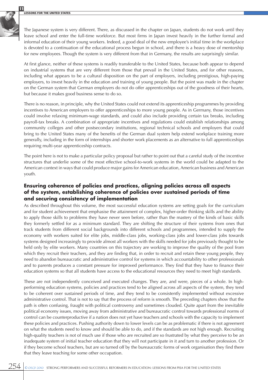

The Japanese system is very different. There, as discussed in the chapter on Japan, students do not work until they leave school and enter the full-time workforce. But most firms in Japan invest heavily in the further formal and informal education of their young workers. Indeed, a good deal of the new employee's initial time in the workplace is devoted to a continuation of the educational process begun in school, and there is a heavy dose of mentorship for new employees. Though the system is very different from that in Germany, the results are surprisingly similar.

At first glance, neither of these systems is readily transferable to the United States, because both appear to depend on industrial systems that are very different from those that prevail in the United States, and for other reasons, including what appears to be a cultural disposition on the part of employers, including prestigious, high-paying employers, to invest heavily in the education and training of young people. But the point was made in the chapter on the German system that German employers do not do offer apprenticeships out of the goodness of their hearts, but because it makes good business sense to do so.

There is no reason, in principle, why the United States could not extend its apprenticeship programmes by providing incentives to American employers to offer apprenticeships to more young people. As in Germany, those incentives could involve relaxing minimum-wage standards, and could also include providing certain tax breaks, including payroll-tax breaks. A combination of appropriate incentives and regulations could establish relationships among community colleges and other postsecondary institutions, regional technical schools and employers that could bring to the United States many of the benefits of the German dual system help extend workplace training more generally, including in the form of internships and shorter work placements as an alternative to full apprenticeships requiring multi-year apprenticeship contracts.

The point here is not to make a particular policy proposal but rather to point out that a careful study of the incentive structures that underlie some of the most effective school-to-work systems in the world could be adapted to the American context in ways that could produce major gains for American education, American business and American youth.

# **Ensuring coherence of policies and practices, aligning policies across all aspects of the system, establishing coherence of policies over sustained periods of time and securing consistency of implementation**

As described throughout this volume, the most successful education systems are setting goals for the curriculum and for student achievement that emphasise the attainment of complex, higher-order thinking skills and the ability to apply those skills to problems they have never seen before, rather than the mastery of the kinds of basic skills they formerly settled for as a minimum standard. They are shifting the structure of their systems from ones that track students from different social backgrounds into different schools and programmes, intended to supply the economy with workers suited for elite jobs, middle-class jobs, working-class jobs and lower-class jobs towards systems designed increasingly to provide almost all workers with the skills needed for jobs previously thought to be held only by elite workers. Many countries on this trajectory are working to improve the quality of the pool from which they recruit their teachers, and they are finding that, in order to recruit and retain these young people, they need to abandon bureaucratic and administrative control for systems in which accountability to other professionals and to parents produces a constant pressure for improved performance. They find that they have to finance their education systems so that all students have access to the educational resources they need to meet high standards.

These are not independently conceived and executed changes. They are, and were, pieces of a whole. In highperforming education systems, policies and practices tend to be aligned across all aspects of the system, they tend to be coherent over sustained periods of time, and they tend to be consistently implemented without excessive administrative control. That is not to say that the process of reform is smooth. The preceding chapters show that the path is often confusing, fraught with political controversy and sometimes clouded. Quite apart from the inevitable political economy issues, moving away from administrative and bureaucratic control towards professional norms of control can be counterproductive if a nation does not yet have teachers and schools with the capacity to implement these policies and practices. Pushing authority down to lower levels can be as problematic if there is not agreement on what the students need to know and should be able to do, and if the standards are not high enough. Recruiting high-quality teachers is not of much use if those who are recruited are so frustrated by what they perceive to be an inadequate system of initial teacher education that they will not participate in it and turn to another profession. Or if they become school teachers, but are so turned off by the bureaucratic forms of work organisation they find there that they leave teaching for some other occupation.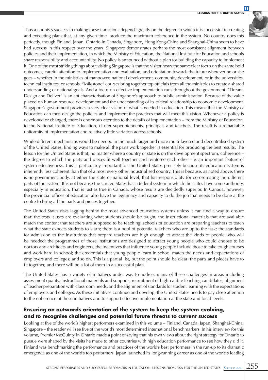

Thus a county's success in making these transitions depends greatly on the degree to which it is successful in creating and executing plans that, at any given time, produce the maximum coherence in the system. No country does this perfectly, though Finland, Japan, Ontario in Canada, Singapore, Hong Kong-China and Shanghai-China seem to have had success in this respect over the years. Singapore demonstrates perhaps the most consistent alignment between policies and their implementation, in which the Ministry of Education, the National Institute for Education and schools share responsibility and accountability. No policy is announced without a plan for building the capacity to implement it. One of the most striking things about visiting Singapore is that the visitor hears the same clear focus on the same bold outcomes, careful attention to implementation and evaluation, and orientation towards the future wherever he or she goes – whether in the ministries of manpower, national development, community development, or in the universities, technical institutes, or schools. "Milestone" courses bring together top officials from all the ministries to create a shared understanding of national goals. And a focus on effective implementation runs throughout the government. "Dream, Design and Deliver" is an apt characterisation of Singapore's approach to public administration. Because of the value placed on human resource development and the understanding of its critical relationship to economic development, Singapore's government provides a very clear vision of what is needed in education. This means that the Ministry of Education can then design the policies and implement the practices that will meet this vision. Whenever a policy is developed or changed, there is enormous attention to the details of implementation – from the Ministry of Education, to the National Institute of Education, cluster superintendents, principals and teachers. The result is a remarkable uniformity of implementation and relatively little variation across schools.

While different mechanisms would be needed in the much larger and more multi-layered and decentralised system of the United States, finding ways to make all the parts work together is essential for producing the best results. The lesson for the United States is that, no matter where a country or state is on the development spectrum, coherence – the degree to which the parts and pieces fit well together and reinforce each other – is an important feature of system effectiveness. This is particularly important for the United States precisely because its education system is inherently less coherent than that of almost every other industrialised country. This is because, as noted above, there is no government body, at either the state or national level, that has responsibility for co-ordinating the different parts of the system. It is not because the United States has a federal system in which the states have some authority, especially in education. That is just as true in Canada, whose results are decidedly superior. In Canada, however, the provincial offices of education also have the legitimacy and capacity to do the job that needs to be done at the centre to bring all the parts and pieces together.

The United States risks lagging behind the most advanced education systems unless it can find a way to ensure that: the tests it uses are evaluating what students should be taught; the instructional materials that are available match the content that teachers are supposed to be teaching; schools of education are preparing teachers to teach what the state expects students to learn; there is a pool of potential teachers who are up to the task; the standards for admission to the institutions that prepare teachers are high enough to attract the kinds of people who will be needed; the programmes of those institutions are designed to attract young people who could choose to be doctors and architects and engineers; the incentives that influence young people include those to take tough courses and work hard in school; the credentials that young people learn in school match the needs and expectations of employers and colleges; and so on. This is a partial list, but the point should be clear: the parts and pieces have to fit together, and there will be a lot of them in a successful plan.

The United States has a variety of initiatives under way to address many of these challenges in areas including assessment quality, instructional materials and supports, recruitment of high-calibre teaching candidates, alignment of teacher preparation with classroom needs, and the alignment of standards for student learning with the expectations of employers and colleges. As these initiatives continue and develop, the United States needs to pay close attention to the coherence of these initiatives and to support effective implementation at the state and local levels.

# **Ensuring an outwards orientation of the system to keep the system evolving, and to recognise challenges and potential future threats to current success**

Looking at five of the world's highest performers examined in this volume – Finland, Canada, Japan, Shanghai-China, Singapore – the reader will see five of the world's most determined international benchmarkers. In his interview for this volume, Premier McGuinty in Ontario made a point of saying that his own views about the right strategy for Ontario to pursue were shaped by the visits he made to other countries with high education performance to see how they did it. Finland was benchmarking the performance and practices of the world's best performers in the run-up to its dramatic emergence as one of the world's top performers. Japan launched its long-running career as one of the world's leading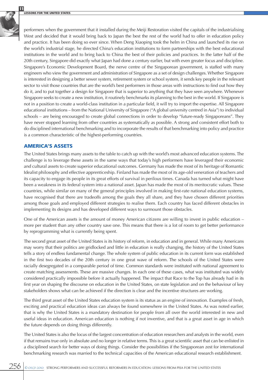

performers when the government that it installed during the Meiji Restoration visited the capitals of the industrialising West and decided that it would bring back to Japan the best the rest of the world had to offer in education policy and practice. It has been doing so ever since. When Deng Xiaoping took the helm in China and launched its rise on the world's industrial stage, he directed China's education institutions to form partnerships with the best educational institutions in the world and to bring back to China the best of their policies and practices. In the latter half of the 20th century, Singapore did exactly what Japan had done a century earlier, but with even greater focus and discipline. Singapore's Economic Development Board, the nerve centre of the Singaporean government, is staffed with many engineers who view the government and administration of Singapore as a set of design challenges. Whether Singapore is interested in designing a better sewer system, retirement system or school system, it sends key people in the relevant sector to visit those countries that are the world's best performers in those areas with instructions to find out how they do it, and to put together a design for Singapore that is superior to anything that they have seen anywhere. Whenever Singapore seeks to create a new institution, it routinely benchmarks its planning to the best in the world. If Singapore is not in a position to create a world-class institution in a particular field, it will try to import the expertise. All Singapore educational institutions – from the National University of Singapore ("A global university centred in Asia") to individual schools – are being encouraged to create global connections in order to develop "future-ready Singaporeans". They have never stopped learning from other countries as systematically as possible. A strong and consistent effort both to do disciplined international benchmarking and to incorporate the results of that benchmarking into policy and practice is a common characteristic of the highest-performing countries.

#### America's assets

The United States brings many assets to the table to catch up with the world's most advanced education systems. The challenge is to leverage these assets in the same ways that today's high performers have leveraged their economic and cultural assets to create superior educational outcomes. Germany has made the most of its heritage of Romantic Idealist philosophy and effective apprenticeship. Finland has made the most of its age-old veneration of teachers and its capacity to engage its people in its great efforts of survival in perilous times. Canada has turned what might have been a weakness in its federal system into a national asset. Japan has made the most of its meritocratic values. These countries, while similar on many of the general principles involved in making first-rate national education systems, have recognised that there are tradeoffs among the goals they all share, and they have chosen different priorities among those goals and employed different strategies to realise them. Each country has faced different obstacles in implementing its designs and has developed different ways to surmount those obstacles.

One of the American assets is the amount of money American citizens are willing to invest in public education – more per student than any other country save one. This means that there is a lot of room to get better performance by reprogramming what is currently being spent.

The second great asset of the United States is its history of reform, in education and in general. While many Americans may worry that their politics are gridlocked and little in education is really changing, the history of the United States tells a story of endless fundamental change. The whole system of public education in its current form was established in the first two decades of the 20th century in one great wave of reform. The schools of the United States were racially desegregated in a comparable period of time. Common standards were instituted with national agreement to create matching assessments. These are massive changes. In each one of these cases, what was instituted was widely considered practically impossible before it actually happened. The impact that Race to the Top has already had in its first year on shaping the discourse on education in the United States, on state legislation and on the behaviour of key stakeholders shows what can be achieved if the direction is clear and the incentive structures are working.

The third great asset of the United States education system is its status as an engine of innovation. Examples of fresh, exciting and practical education ideas can always be found somewhere in the United States. As was noted earlier, that is why the United States is a mandatory destination for people from all over the world interested in new and useful ideas in education. American education is nothing if not inventive, and that is a great asset in age in which the future depends on doing things differently.

The United States is also the locus of the largest concentration of education researchers and analysts in the world, even if that remains true only in absolute and no longer in relative terms. This is a great scientific asset that can be enlisted in a disciplined search for better ways of doing things. Consider the possibilities if the Singaporean zest for international benchmarking research was married to the technical capacities of the American educational research establishment.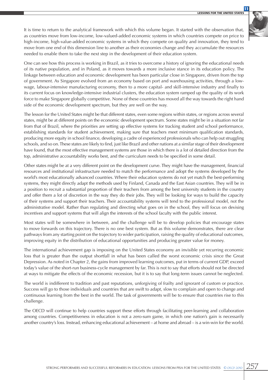

It is time to return to the analytical framework with which this volume began. It started with the observation that, as countries move from low-income, low-valued-added economic systems in which countries compete on price to high-income, high-value-added economic systems in which they compete on quality and innovation, they tend to move from one end of this dimension line to another as their economies change and they accumulate the resources needed to enable them to take the next step in the development of their education system.

One can see how this process is working in Brazil, as it tries to overcome a history of ignoring the educational needs of its native population, and in Poland, as it moves towards a more inclusive stance in its education policy. The linkage between education and economic development has been particular close in Singapore, driven from the top of government. As Singapore evolved from an economy based on port and warehousing activities, through a lowwage, labour-intensive manufacturing economy, then to a more capital- and skill-intensive industry and finally to its current focus on knowledge-intensive industrial clusters, the education system ramped up the quality of its work force to make Singapore globally competitive. None of these countries has moved all the way towards the right hand side of the economic development spectrum, but they are well on the way.

The lesson for the United States might be that different states, even some regions within states, or regions across several states, might be at different points on the economic development spectrum. Some states might be in a situation not far from that of Brazil, where the priorities are setting up effective systems for tracking student and school performance, establishing standards for student achievement, making sure that teachers meet minimum qualification standards, producing more equity in school finance, developing a cadre of experienced professionals who can help out struggling schools, and so on. These states are likely to find, just like Brazil and other nations at a similar stage of their development have found, that the most effective management systems are those in which there is a lot of detailed direction from the top, administrative accountability works best, and the curriculum needs to be specified in some detail.

Other states might be at a very different point on the development curve. They might have the management, financial resources and institutional infrastructure needed to match the performance and adopt the systems developed by the world's most educationally advanced countries. Where their education systems do not yet match the best-performing systems, they might directly adapt the methods used by Finland, Canada and the East Asian countries. They will be in a position to recruit a substantial proportion of their teachers from among the best university students in the country and offer them a lot of discretion in the way they do their jobs. They will be looking for ways to build the capacity of their systems and support their teachers. Their accountability systems will tend to the professional model, not the administrative model. Rather than regulating and directing what goes on in the school, they will focus on devising incentives and support systems that will align the interests of the school faculty with the public interest.

Most states will be somewhere in between, and the challenge will be to develop policies that encourage states to move forwards on this trajectory. There is no one best system. But as this volume demonstrates, there are clear pathways from any starting point on the trajectory to wider participation, raising the quality of educational outcomes, improving equity in the distribution of educational opportunities and producing greater value for money.

The international achievement gap is imposing on the United States economy an invisible yet recurring economic loss that is greater than the output shortfall in what has been called the worst economic crisis since the Great Depression. As noted in Chapter 2, the gains from improved learning outcomes, put in terms of current GDP, exceed today's value of the short-run business-cycle management by far. This is not to say that efforts should not be directed at ways to mitigate the effects of the economic recession, but it is to say that long-term issues cannot be neglected.

The world is indifferent to tradition and past reputations, unforgiving of frailty and ignorant of custom or practice. Success will go to those individuals and countries that are swift to adapt, slow to complain and open to change and continuous learning from the best in the world. The task of governments will be to ensure that countries rise to this challenge.

The OECD will continue to help countries support these efforts through facilitating peer-learning and collaboration among countries. Competitiveness in education is not a zero-sum game, in which one nation's gain is necessarily another country's loss. Instead, enhancing educational achievement – at home and abroad – is a win-win for the world.